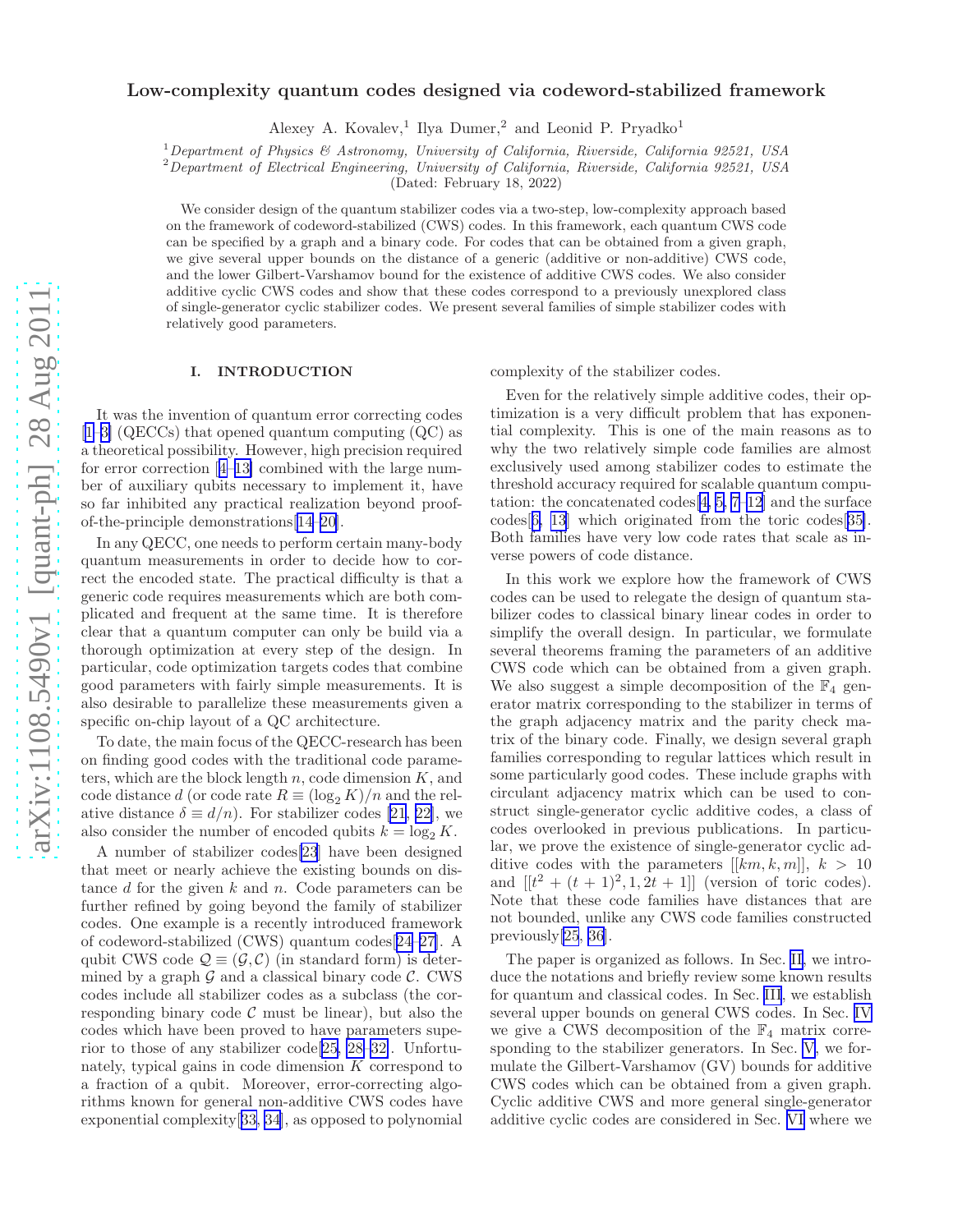# arXiv:1108.5490v1 [quant-ph] 28 Aug 2011 [arXiv:1108.5490v1 \[quant-ph\] 28 Aug 2011](http://arxiv.org/abs/1108.5490v1)

# Low-complexity quantum codes designed via codeword-stabilized framework

Alexey A. Kovalev,<sup>1</sup> Ilya Dumer,<sup>2</sup> and Leonid P. Pryadko<sup>1</sup>

<sup>1</sup>*Department of Physics & Astronomy, University of California, Riverside, California 92521, USA*

<sup>2</sup>*Department of Electrical Engineering, University of California, Riverside, California 92521, USA*

(Dated: February 18, 2022)

We consider design of the quantum stabilizer codes via a two-step, low-complexity approach based on the framework of codeword-stabilized (CWS) codes. In this framework, each quantum CWS code can be specified by a graph and a binary code. For codes that can be obtained from a given graph, we give several upper bounds on the distance of a generic (additive or non-additive) CWS code, and the lower Gilbert-Varshamov bound for the existence of additive CWS codes. We also consider additive cyclic CWS codes and show that these codes correspond to a previously unexplored class of single-generator cyclic stabilizer codes. We present several families of simple stabilizer codes with relatively good parameters.

# I. INTRODUCTION

It was the invention of quantum error correcting codes [[1–3\]](#page-10-0) (QECCs) that opened quantum computing (QC) as a theoretical possibility. However, high precision required for error correction[[4–13\]](#page-10-0) combined with the large number of auxiliary qubits necessary to implement it, have so far inhibited any practical realization beyond proofof-the-principle demonstrations[\[14–20\]](#page-10-0).

In any QECC, one needs to perform certain many-body quantum measurements in order to decide how to correct the encoded state. The practical difficulty is that a generic code requires measurements which are both complicated and frequent at the same time. It is therefore clear that a quantum computer can only be build via a thorough optimization at every step of the design. In particular, code optimization targets codes that combine good parameters with fairly simple measurements. It is also desirable to parallelize these measurements given a specific on-chip layout of a QC architecture.

To date, the main focus of the QECC-research has been on finding good codes with the traditional code parameters, which are the block length  $n$ , code dimension  $K$ , and code distance d (or code rate  $R \equiv (\log_2 K)/n$  and the relativedistance  $\delta \equiv d/n$ . For stabilizer codes [[21, 22\]](#page-10-0), we also consider the number of encoded qubits  $k = \log_2 K$ .

A number of stabilizer codes[\[23\]](#page-10-0) have been designed that meet or nearly achieve the existing bounds on distance  $d$  for the given  $k$  and  $n$ . Code parameters can be further refined by going beyond the family of stabilizer codes. One example is a recently introduced framework of codeword-stabilized (CWS) quantum codes[[24–27\]](#page-10-0). A qubit CWS code  $\mathcal{Q} \equiv (\mathcal{G}, \mathcal{C})$  (in standard form) is determined by a graph  $\mathcal G$  and a classical binary code  $\mathcal C$ . CWS codes include all stabilizer codes as a subclass (the corresponding binary code  $\mathcal C$  must be linear), but also the codes which have been proved to have parameters superior to those of any stabilizer code[[25, 28–32\]](#page-10-0). Unfortunately, typical gains in code dimension K correspond to a fraction of a qubit. Moreover, error-correcting algorithms known for general non-additive CWS codes have exponential complexity[[33, 34](#page-10-0)], as opposed to polynomial complexity of the stabilizer codes.

Even for the relatively simple additive codes, their optimization is a very difficult problem that has exponential complexity. This is one of the main reasons as to why the two relatively simple code families are almost exclusively used among stabilizer codes to estimate the threshold accuracy required for scalable quantum computation: the concatenated codes  $[4, 5, 7-12]$  and the surface codes[[6, 13\]](#page-10-0) which originated from the toric codes[[35\]](#page-10-0). Both families have very low code rates that scale as inverse powers of code distance.

In this work we explore how the framework of CWS codes can be used to relegate the design of quantum stabilizer codes to classical binary linear codes in order to simplify the overall design. In particular, we formulate several theorems framing the parameters of an additive CWS code which can be obtained from a given graph. We also suggest a simple decomposition of the  $\mathbb{F}_4$  generator matrix corresponding to the stabilizer in terms of the graph adjacency matrix and the parity check matrix of the binary code. Finally, we design several graph families corresponding to regular lattices which result in some particularly good codes. These include graphs with circulant adjacency matrix which can be used to construct single-generator cyclic additive codes, a class of codes overlooked in previous publications. In particular, we prove the existence of single-generator cyclic additive codes with the parameters  $[[km, k, m]], k > 10$ and  $[[t^2 + (t+1)^2, 1, 2t+1]]$  (version of toric codes). Note that these code families have distances that are not bounded, unlike any CWS code families constructed previously[\[25](#page-10-0), [36](#page-10-0)].

The paper is organized as follows. In Sec. [II,](#page-1-0) we introduce the notations and briefly review some known results for quantum and classical codes. In Sec. [III](#page-3-0), we establish several upper bounds on general CWS codes. In Sec. [IV](#page-4-0) we give a CWS decomposition of the  $\mathbb{F}_4$  matrix corresponding to the stabilizer generators. In Sec. [V,](#page-5-0) we formulate the Gilbert-Varshamov (GV) bounds for additive CWS codes which can be obtained from a given graph. Cyclic additive CWS and more general single-generator additive cyclic codes are considered in Sec. [VI](#page-6-0) where we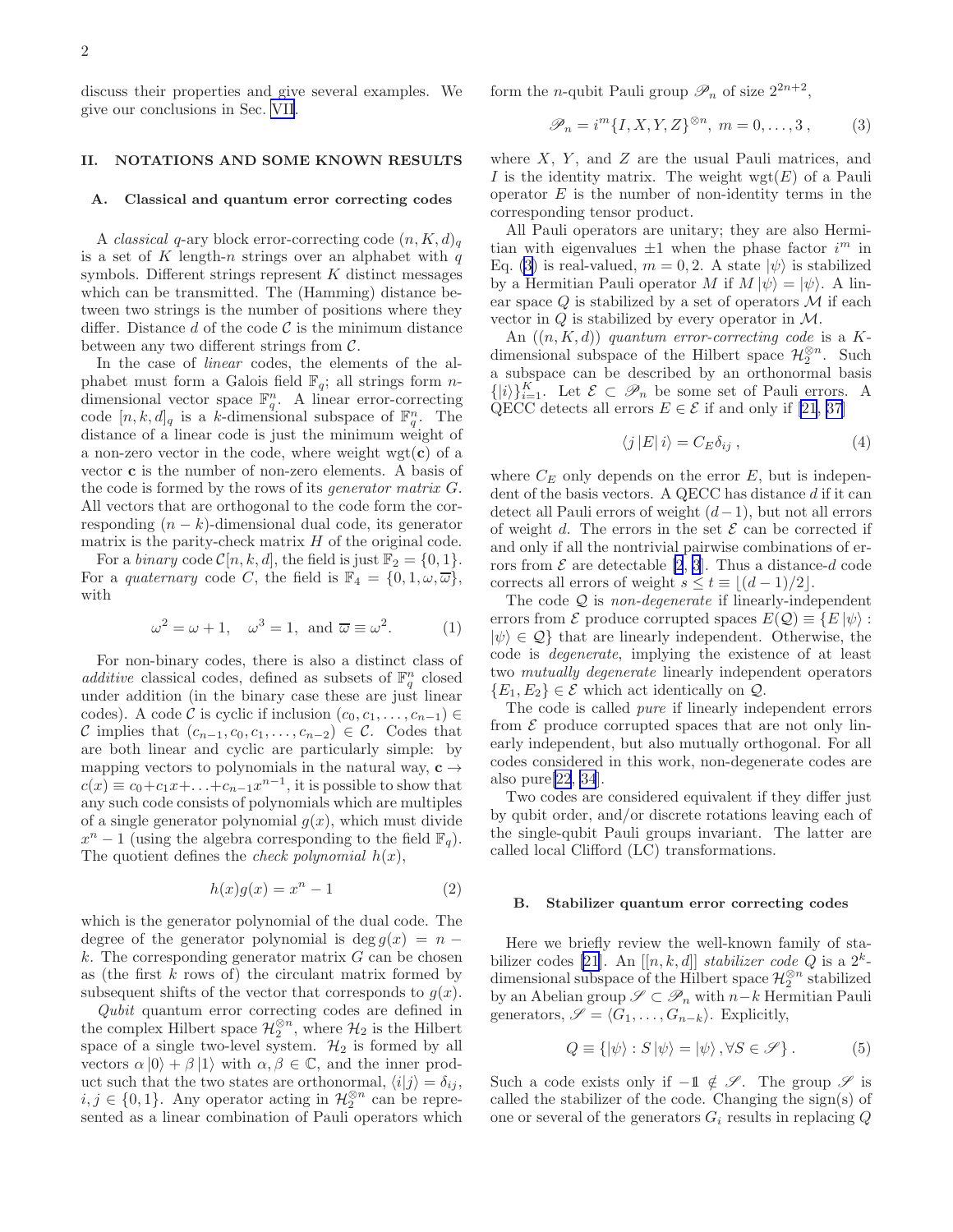<span id="page-1-0"></span>discuss their properties and give several examples. We give our conclusions in Sec. [VII](#page-9-0).

# II. NOTATIONS AND SOME KNOWN RESULTS

### A. Classical and quantum error correcting codes

A *classical* q-ary block error-correcting code  $(n, K, d)$ <sub>q</sub> is a set of K length-n strings over an alphabet with  $q$ symbols. Different strings represent  $K$  distinct messages which can be transmitted. The (Hamming) distance between two strings is the number of positions where they differ. Distance d of the code  $\mathcal C$  is the minimum distance between any two different strings from  $\mathcal{C}$ .

In the case of linear codes, the elements of the alphabet must form a Galois field  $\mathbb{F}_q$ ; all strings form *n*dimensional vector space  $\mathbb{F}_q^n$ . A linear error-correcting code  $[n, k, d]_q$  is a k-dimensional subspace of  $\mathbb{F}_q^n$ . The distance of a linear code is just the minimum weight of a non-zero vector in the code, where weight  $wgt(c)$  of a vector c is the number of non-zero elements. A basis of the code is formed by the rows of its generator matrix G. All vectors that are orthogonal to the code form the corresponding  $(n - k)$ -dimensional dual code, its generator matrix is the parity-check matrix  $H$  of the original code.

For a *binary* code  $C[n, k, d]$ , the field is just  $\mathbb{F}_2 = \{0, 1\}.$ For a *quaternary* code C, the field is  $\mathbb{F}_4 = \{0, 1, \omega, \overline{\omega}\},\$ with

$$
\omega^2 = \omega + 1, \quad \omega^3 = 1, \text{ and } \overline{\omega} \equiv \omega^2. \quad (1)
$$

For non-binary codes, there is also a distinct class of additive classical codes, defined as subsets of  $\mathbb{F}_q^n$  closed under addition (in the binary case these are just linear codes). A code C is cyclic if inclusion  $(c_0, c_1, \ldots, c_{n-1}) \in$ C implies that  $(c_{n-1}, c_0, c_1, \ldots, c_{n-2}) \in \mathcal{C}$ . Codes that are both linear and cyclic are particularly simple: by mapping vectors to polynomials in the natural way,  $c \rightarrow$  $c(x) \equiv c_0 + c_1 x + \ldots + c_{n-1} x^{n-1}$ , it is possible to show that any such code consists of polynomials which are multiples of a single generator polynomial  $q(x)$ , which must divide  $x^{n}-1$  (using the algebra corresponding to the field  $\mathbb{F}_{q}$ ). The quotient defines the *check polynomial*  $h(x)$ ,

$$
h(x)g(x) = xn - 1
$$
 (2)

which is the generator polynomial of the dual code. The degree of the generator polynomial is deg  $g(x) = n$  $k$ . The corresponding generator matrix  $G$  can be chosen as (the first  $k$  rows of) the circulant matrix formed by subsequent shifts of the vector that corresponds to  $g(x)$ .

Qubit quantum error correcting codes are defined in the complex Hilbert space  $\mathcal{H}_2^{\otimes n}$ , where  $\mathcal{H}_2$  is the Hilbert space of a single two-level system.  $\mathcal{H}_2$  is formed by all vectors  $\alpha |0\rangle + \beta |1\rangle$  with  $\alpha, \beta \in \mathbb{C}$ , and the inner product such that the two states are orthonormal,  $\langle i|j \rangle = \delta_{ij}$ ,  $i, j \in \{0, 1\}$ . Any operator acting in  $\mathcal{H}_2^{\otimes n}$  can be represented as a linear combination of Pauli operators which form the *n*-qubit Pauli group  $\mathscr{P}_n$  of size  $2^{2n+2}$ ,

$$
\mathscr{P}_n = i^m \{I, X, Y, Z\}^{\otimes n}, \ m = 0, \dots, 3, \tag{3}
$$

where  $X$ ,  $Y$ , and  $Z$  are the usual Pauli matrices, and I is the identity matrix. The weight  $wgt(E)$  of a Pauli operator  $E$  is the number of non-identity terms in the corresponding tensor product.

All Pauli operators are unitary; they are also Hermitian with eigenvalues  $\pm 1$  when the phase factor  $i^m$  in Eq. (3) is real-valued,  $m = 0, 2$ . A state  $|\psi\rangle$  is stabilized by a Hermitian Pauli operator M if  $M |\psi\rangle = |\psi\rangle$ . A linear space  $Q$  is stabilized by a set of operators  $\mathcal M$  if each vector in  $Q$  is stabilized by every operator in  $M$ .

An  $((n, K, d))$  quantum error-correcting code is a Kdimensional subspace of the Hilbert space  $\mathcal{H}_2^{\otimes n}$ . Such a subspace can be described by an orthonormal basis  $\{|i\rangle\}_{i=1}^K$ . Let  $\mathcal{E} \subset \mathcal{P}_n$  be some set of Pauli errors. A QECC detects all errors  $E \in \mathcal{E}$  if and only if [\[21](#page-10-0), [37](#page-10-0)]

$$
\langle j | E | i \rangle = C_E \delta_{ij} , \qquad (4)
$$

where  $C_E$  only depends on the error  $E$ , but is independent of the basis vectors. A QECC has distance d if it can detect all Pauli errors of weight  $(d-1)$ , but not all errors of weight d. The errors in the set  $\mathcal E$  can be corrected if and only if all the nontrivial pairwise combinations of errors from  $\mathcal E$  are detectable [\[2](#page-10-0), [3](#page-10-0)]. Thus a distance-d code corrects all errors of weight  $s \le t \equiv |(d-1)/2|$ .

The code  $Q$  is non-degenerate if linearly-independent errors from  $\mathcal E$  produce corrupted spaces  $E(\mathcal Q) \equiv \{E | \psi \rangle :$  $|\psi\rangle \in \mathcal{Q}$  that are linearly independent. Otherwise, the code is degenerate, implying the existence of at least two mutually degenerate linearly independent operators  ${E_1, E_2} \in \mathcal{E}$  which act identically on  $\mathcal{Q}$ .

The code is called pure if linearly independent errors from  $\mathcal E$  produce corrupted spaces that are not only linearly independent, but also mutually orthogonal. For all codes considered in this work, non-degenerate codes are also pure[\[22](#page-10-0), [34](#page-10-0)].

Two codes are considered equivalent if they differ just by qubit order, and/or discrete rotations leaving each of the single-qubit Pauli groups invariant. The latter are called local Clifford (LC) transformations.

### B. Stabilizer quantum error correcting codes

Here we briefly review the well-known family of sta-bilizer codes [\[21\]](#page-10-0). An  $[[n, k, d]]$  stabilizer code Q is a  $2^k$ dimensional subspace of the Hilbert space  $\mathcal{H}_2^{\otimes n}$  stabilized by an Abelian group  $\mathscr{S} \subset \mathscr{P}_n$  with  $n-k$  Hermitian Pauli generators,  $\mathscr{S} = \langle G_1, \ldots, G_{n-k} \rangle$ . Explicitly,

$$
Q \equiv \{ |\psi \rangle : S | \psi \rangle = | \psi \rangle, \forall S \in \mathscr{S} \}.
$$
 (5)

Such a code exists only if  $-1 \notin \mathscr{S}$ . The group  $\mathscr{S}$  is called the stabilizer of the code. Changing the sign(s) of one or several of the generators  $G_i$  results in replacing  $Q$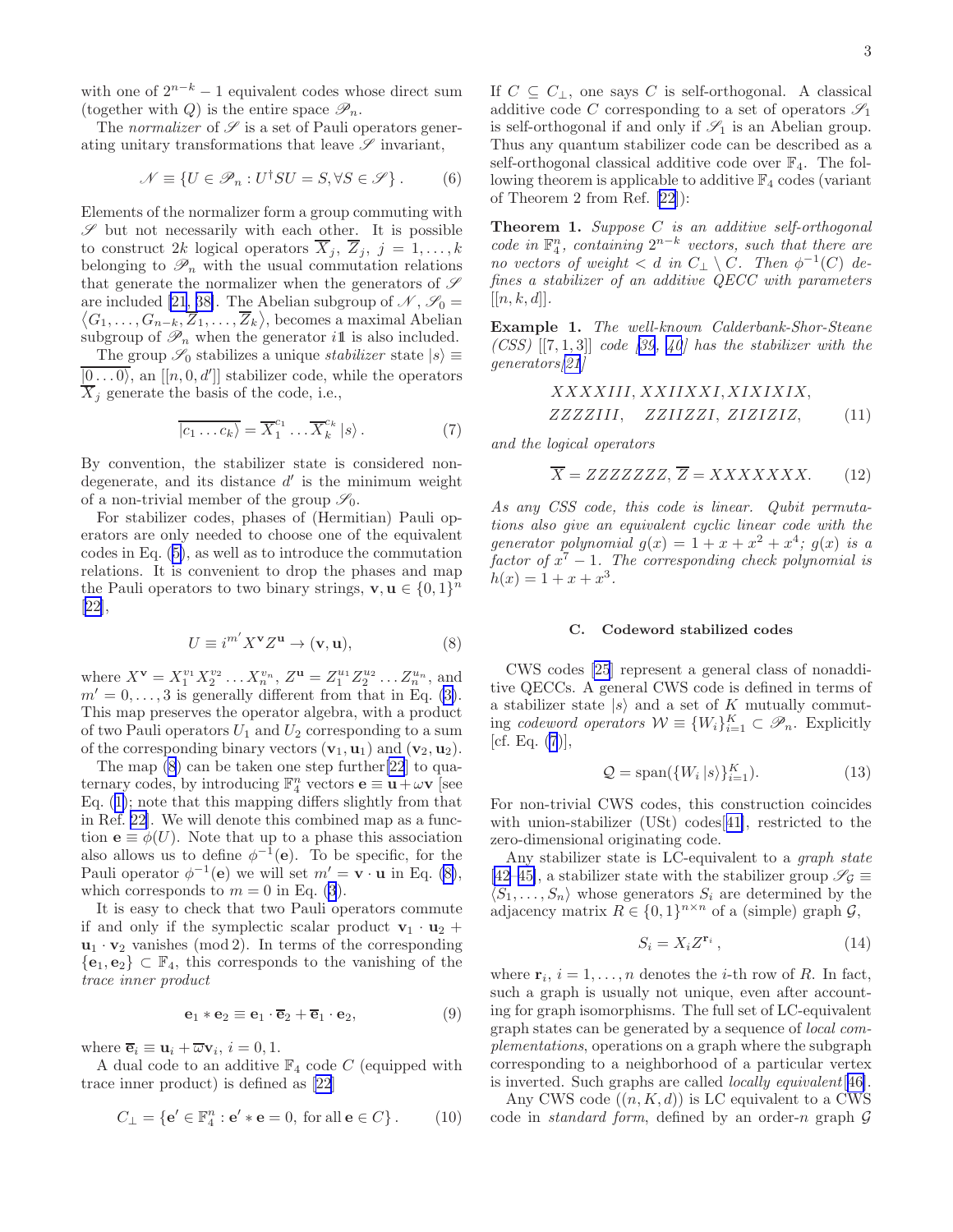<span id="page-2-0"></span>with one of  $2^{n-k} - 1$  equivalent codes whose direct sum (together with Q) is the entire space  $\mathscr{P}_n$ .

The *normalizer* of  $\mathscr S$  is a set of Pauli operators generating unitary transformations that leave  $\mathscr S$  invariant,

$$
\mathcal{N} \equiv \{ U \in \mathcal{P}_n : U^{\dagger} S U = S, \forall S \in \mathcal{S} \} .
$$
 (6)

Elements of the normalizer form a group commuting with  $\mathscr S$  but not necessarily with each other. It is possible to construct 2k logical operators  $\overline{X}_j$ ,  $\overline{Z}_j$ ,  $j = 1, \ldots, k$ belonging to  $\mathscr{P}_n$  with the usual commutation relations that generate the normalizer when the generators of  $\mathscr S$ are included [\[21](#page-10-0), [38\]](#page-10-0). The Abelian subgroup of are included [21, 38]. The Abelian subgroup of  $\mathcal{N}, \mathcal{S}_0 = \langle G_1, \ldots, G_{n-k}, \overline{Z}_1, \ldots, \overline{Z}_k \rangle$ , becomes a maximal Abelian  $G_1, \ldots, G_{n-k}, \overline{Z}_1, \ldots, \overline{Z}_k \rangle$ , becomes a maximal Abelian subgroup of  $\mathscr{P}_n$  when the generator ill is also included.

The group  $\mathscr{S}_0$  stabilizes a unique *stabilizer* state  $|s\rangle \equiv$  $\overline{|0 \dots 0\rangle}$ , an  $[[n, 0, d']]$  stabilizer code, while the operators  $\overline{X}_i$  generate the basis of the code, i.e.,

$$
\overline{|c_1 \dots c_k\rangle} = \overline{X}_1^{c_1} \dots \overline{X}_k^{c_k} |s\rangle.
$$
 (7)

By convention, the stabilizer state is considered nondegenerate, and its distance  $d'$  is the minimum weight of a non-trivial member of the group  $\mathscr{S}_0$ .

For stabilizer codes, phases of (Hermitian) Pauli operators are only needed to choose one of the equivalent codes in Eq.([5\)](#page-1-0), as well as to introduce the commutation relations. It is convenient to drop the phases and map the Pauli operators to two binary strings,  $\mathbf{v}, \mathbf{u} \in \{0, 1\}^n$ [[22\]](#page-10-0),

$$
U \equiv i^{m'} X^{\mathbf{v}} Z^{\mathbf{u}} \to (\mathbf{v}, \mathbf{u}),\tag{8}
$$

where  $X^{\mathbf{v}} = X_1^{v_1} X_2^{v_2} \dots X_n^{v_n}$ ,  $Z^{\mathbf{u}} = Z_1^{u_1} Z_2^{u_2} \dots Z_n^{u_n}$ , and  $m' = 0, \ldots, 3$  is generally different from that in Eq. [\(3\)](#page-1-0). This map preserves the operator algebra, with a product of two Pauli operators  $U_1$  and  $U_2$  corresponding to a sum of the corresponding binary vectors  $(\mathbf{v}_1, \mathbf{u}_1)$  and  $(\mathbf{v}_2, \mathbf{u}_2)$ .

The map (8) can be taken one step further[\[22](#page-10-0)] to quaternary codes, by introducing  $\mathbb{F}_4^n$  vectors  $\mathbf{e} \equiv \mathbf{u} + \omega \mathbf{v}$  [see Eq.([1\)](#page-1-0); note that this mapping differs slightly from that in Ref. [22\]](#page-10-0). We will denote this combined map as a function  $\mathbf{e} \equiv \phi(U)$ . Note that up to a phase this association also allows us to define  $\phi^{-1}(e)$ . To be specific, for the Pauli operator  $\phi^{-1}(\mathbf{e})$  we will set  $m' = \mathbf{v} \cdot \mathbf{u}$  in Eq. (8), which corresponds to  $m = 0$  in Eq. [\(3](#page-1-0)).

It is easy to check that two Pauli operators commute if and only if the symplectic scalar product  $v_1 \cdot u_2 +$  $\mathbf{u}_1 \cdot \mathbf{v}_2$  vanishes (mod 2). In terms of the corresponding  ${e_1, e_2} \subset \mathbb{F}_4$ , this corresponds to the vanishing of the trace inner product

$$
\mathbf{e}_1 * \mathbf{e}_2 \equiv \mathbf{e}_1 \cdot \overline{\mathbf{e}}_2 + \overline{\mathbf{e}}_1 \cdot \mathbf{e}_2, \tag{9}
$$

where  $\overline{\mathbf{e}}_i \equiv \mathbf{u}_i + \overline{\omega} \mathbf{v}_i, i = 0, 1.$ 

A dual code to an additive  $\mathbb{F}_4$  code C (equipped with trace inner product) is defined as [\[22\]](#page-10-0)

$$
C_{\perp} = \{ \mathbf{e}' \in \mathbb{F}_4^n : \mathbf{e}' * \mathbf{e} = 0, \text{ for all } \mathbf{e} \in C \} . \tag{10}
$$

If  $C \subseteq C_{\perp}$ , one says C is self-orthogonal. A classical additive code C corresponding to a set of operators  $\mathscr{S}_1$ is self-orthogonal if and only if  $\mathscr{S}_1$  is an Abelian group. Thus any quantum stabilizer code can be described as a self-orthogonal classical additive code over  $\mathbb{F}_4$ . The following theorem is applicable to additive  $\mathbb{F}_4$  codes (variant of Theorem 2 from Ref. [\[22](#page-10-0)]):

**Theorem 1.** Suppose  $C$  is an additive self-orthogonal code in  $\mathbb{F}_4^n$ , containing  $2^{n-k}$  vectors, such that there are no vectors of weight  $\langle d \text{ in } C_{\perp} \setminus C$ . Then  $\phi^{-1}(C)$  defines a stabilizer of an additive QECC with parameters  $[[n, k, d]].$ 

Example 1. The well-known Calderbank-Shor-Steane  $(CSS)$ [[7, 1, 3]] code [[39, 40](#page-10-0)] has the stabilizer with the generators[[21](#page-10-0)]

$$
XXXIII, XXIIXXI, XIXIXIX,
$$
  
ZZZZIII, ZZIIZZI, ZIZIZIZ, (11)

and the logical operators

$$
\overline{X} = ZZZZZZZ, \overline{Z} = XXXXXX.
$$
 (12)

As any CSS code, this code is linear. Qubit permutations also give an equivalent cyclic linear code with the generator polynomial  $g(x) = 1 + x + x^2 + x^4$ ;  $g(x)$  is a factor of  $x^7 - 1$ . The corresponding check polynomial is  $h(x) = 1 + x + x^3$ .

### C. Codeword stabilized codes

CWS codes [\[25](#page-10-0)] represent a general class of nonadditive QECCs. A general CWS code is defined in terms of a stabilizer state  $|s\rangle$  and a set of K mutually commuting codeword operators  $W \equiv \{W_i\}_{i=1}^K \subset \mathscr{P}_n$ . Explicitly [cf. Eq.  $(7)$ ],

$$
Q = \text{span}(\{W_i \mid s\}^K_{i=1}).\tag{13}
$$

For non-trivial CWS codes, this construction coincides with union-stabilizer (USt) codes[[41\]](#page-11-0), restricted to the zero-dimensional originating code.

Any stabilizer state is LC-equivalent to a graph state [[42–45\]](#page-11-0), a stabilizer state with the stabilizer group  $\mathscr{S}_{\mathcal{G}} \equiv$  $\langle S_1, \ldots, S_n \rangle$  whose generators  $S_i$  are determined by the adjacency matrix  $R \in \{0,1\}^{n \times n}$  of a (simple) graph  $\mathcal{G}$ ,

$$
S_i = X_i Z^{\mathbf{r}_i} \,, \tag{14}
$$

where  $\mathbf{r}_i$ ,  $i = 1, \ldots, n$  denotes the *i*-th row of *R*. In fact, such a graph is usually not unique, even after accounting for graph isomorphisms. The full set of LC-equivalent graph states can be generated by a sequence of local complementations, operations on a graph where the subgraph corresponding to a neighborhood of a particular vertex is inverted. Such graphs are called locally equivalent[[46\]](#page-11-0).

Any CWS code  $((n, K, d))$  is LC equivalent to a CWS code in *standard form*, defined by an order-n graph  $G$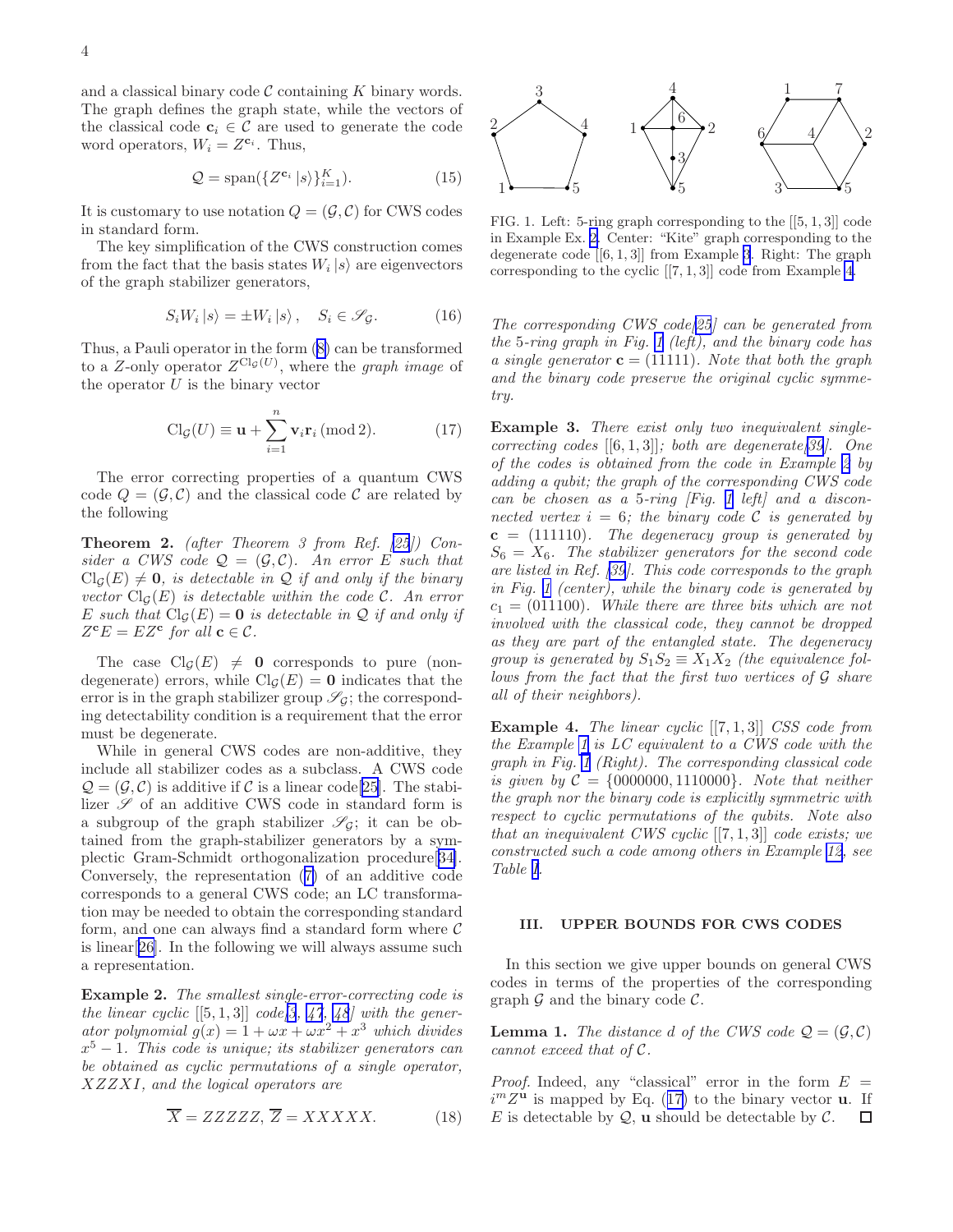<span id="page-3-0"></span>and a classical binary code  $\mathcal C$  containing  $K$  binary words. The graph defines the graph state, while the vectors of the classical code  $c_i \in C$  are used to generate the code word operators,  $W_i = Z^{c_i}$ . Thus,

$$
Q = \text{span}(\{Z^{\mathbf{c}_i} | s \rangle\}_{i=1}^K). \tag{15}
$$

It is customary to use notation  $Q = (\mathcal{G}, \mathcal{C})$  for CWS codes in standard form.

The key simplification of the CWS construction comes from the fact that the basis states  $W_i |s\rangle$  are eigenvectors of the graph stabilizer generators,

$$
S_i W_i | s \rangle = \pm W_i | s \rangle, \quad S_i \in \mathcal{S}_{\mathcal{G}}.
$$
 (16)

Thus, a Pauli operator in the form([8\)](#page-2-0) can be transformed to a Z-only operator  $Z^{Cl_{\mathcal{G}}(U)}$ , where the graph image of the operator  $U$  is the binary vector

$$
\text{Cl}_{\mathcal{G}}(U) \equiv \mathbf{u} + \sum_{i=1}^{n} \mathbf{v}_i \mathbf{r}_i \, (\text{mod } 2). \tag{17}
$$

The error correcting properties of a quantum CWS code  $Q = (\mathcal{G}, \mathcal{C})$  and the classical code  $\mathcal{C}$  are related by the following

Theorem 2. (after Theorem 3 from Ref. [\[25](#page-10-0)]) Consider a CWS code  $\mathcal{Q} = (\mathcal{G}, \mathcal{C})$ . An error E such that  $Cl_G(E) \neq 0$ , is detectable in Q if and only if the binary vector  $\text{Cl}_\mathcal{G}(E)$  is detectable within the code C. An error E such that  $Cl_G(E) = 0$  is detectable in Q if and only if  $Z<sup>c</sup>E = EZ<sup>c</sup>$  for all  $c \in C$ .

The case  $Cl_G(E) \neq 0$  corresponds to pure (nondegenerate) errors, while  $\text{Cl}_\mathcal{G}(E) = 0$  indicates that the error is in the graph stabilizer group  $\mathscr{S}_G$ ; the corresponding detectability condition is a requirement that the error must be degenerate.

While in general CWS codes are non-additive, they include all stabilizer codes as a subclass. A CWS code  $\mathcal{Q} = (\mathcal{G}, \mathcal{C})$  is additive if  $\mathcal C$  is a linear code [[25\]](#page-10-0). The stabilizer  $\mathscr S$  of an additive CWS code in standard form is a subgroup of the graph stabilizer  $\mathscr{S}_{\mathcal{G}}$ ; it can be obtained from the graph-stabilizer generators by a symplectic Gram-Schmidt orthogonalization procedure[[34\]](#page-10-0). Conversely, the representation([7\)](#page-2-0) of an additive code corresponds to a general CWS code; an LC transformation may be needed to obtain the corresponding standard form, and one can always find a standard form where  $\mathcal C$ is linear[\[26\]](#page-10-0). In the following we will always assume such a representation.

Example 2. The smallest single-error-correcting code is the linear cyclic  $[[5,1,3]]$  code  $[3, 47, 48]$  $[3, 47, 48]$  $[3, 47, 48]$  $[3, 47, 48]$  $[3, 47, 48]$  $[3, 47, 48]$  with the generator polynomial  $g(x) = 1 + \omega x + \omega x^2 + x^3$  which divides  $x^5 - 1$ . This code is unique; its stabilizer generators can be obtained as cyclic permutations of a single operator, XZZXI, and the logical operators are

$$
\overline{X} = ZZZZZ, \overline{Z} = XXXXX. \tag{18}
$$



FIG. 1. Left: 5-ring graph corresponding to the [[5, 1, 3]] code in Example Ex. 2. Center: "Kite" graph corresponding to the degenerate code [[6, 1, 3]] from Example 3. Right: The graph corresponding to the cyclic [[7, 1, 3]] code from Example 4.

The corresponding CWS code[\[25](#page-10-0)] can be generated from the 5-ring graph in Fig. 1 (left), and the binary code has a single generator  $\mathbf{c} = (11111)$ . Note that both the graph and the binary code preserve the original cyclic symmetry.

Example 3. There exist only two inequivalent singlecorrecting codes  $[[6,1,3]]$ ; both are degenerate [\[39](#page-10-0)]. One of the codes is obtained from the code in Example 2 by adding a qubit; the graph of the corresponding CWS code can be chosen as a 5-ring  $[Fig. 1 left]$  and a disconnected vertex  $i = 6$ ; the binary code C is generated by  $c = (111110)$ . The degeneracy group is generated by  $S_6 = X_6$ . The stabilizer generators for the second code are listed in Ref.[[39\]](#page-10-0). This code corresponds to the graph in Fig. 1 (center), while the binary code is generated by  $c_1 = (011100)$ . While there are three bits which are not involved with the classical code, they cannot be dropped as they are part of the entangled state. The degeneracy group is generated by  $S_1S_2 \equiv X_1X_2$  (the equivalence follows from the fact that the first two vertices of G share all of their neighbors).

**Example 4.** The linear cyclic  $[[7,1,3]]$  CSS code from the Example [1](#page-2-0) is LC equivalent to a CWS code with the graph in Fig. 1 (Right). The corresponding classical code is given by  $C = \{0000000, 1110000\}$ . Note that neither the graph nor the binary code is explicitly symmetric with respect to cyclic permutations of the qubits. Note also that an inequivalent CWS cyclic  $[[7,1,3]]$  code exists; we constructed such a code among others in Example [12](#page-9-0), see Table [I.](#page-9-0)

# III. UPPER BOUNDS FOR CWS CODES

In this section we give upper bounds on general CWS codes in terms of the properties of the corresponding graph  $\mathcal G$  and the binary code  $\mathcal C$ .

**Lemma 1.** The distance d of the CWS code  $Q = (G, C)$ cannot exceed that of C.

*Proof.* Indeed, any "classical" error in the form  $E =$  $i^m Z^{\mathbf{u}}$  is mapped by Eq. (17) to the binary vector **u**. If E is detectable by  $Q$ , **u** should be detectable by  $C$ .  $\Box$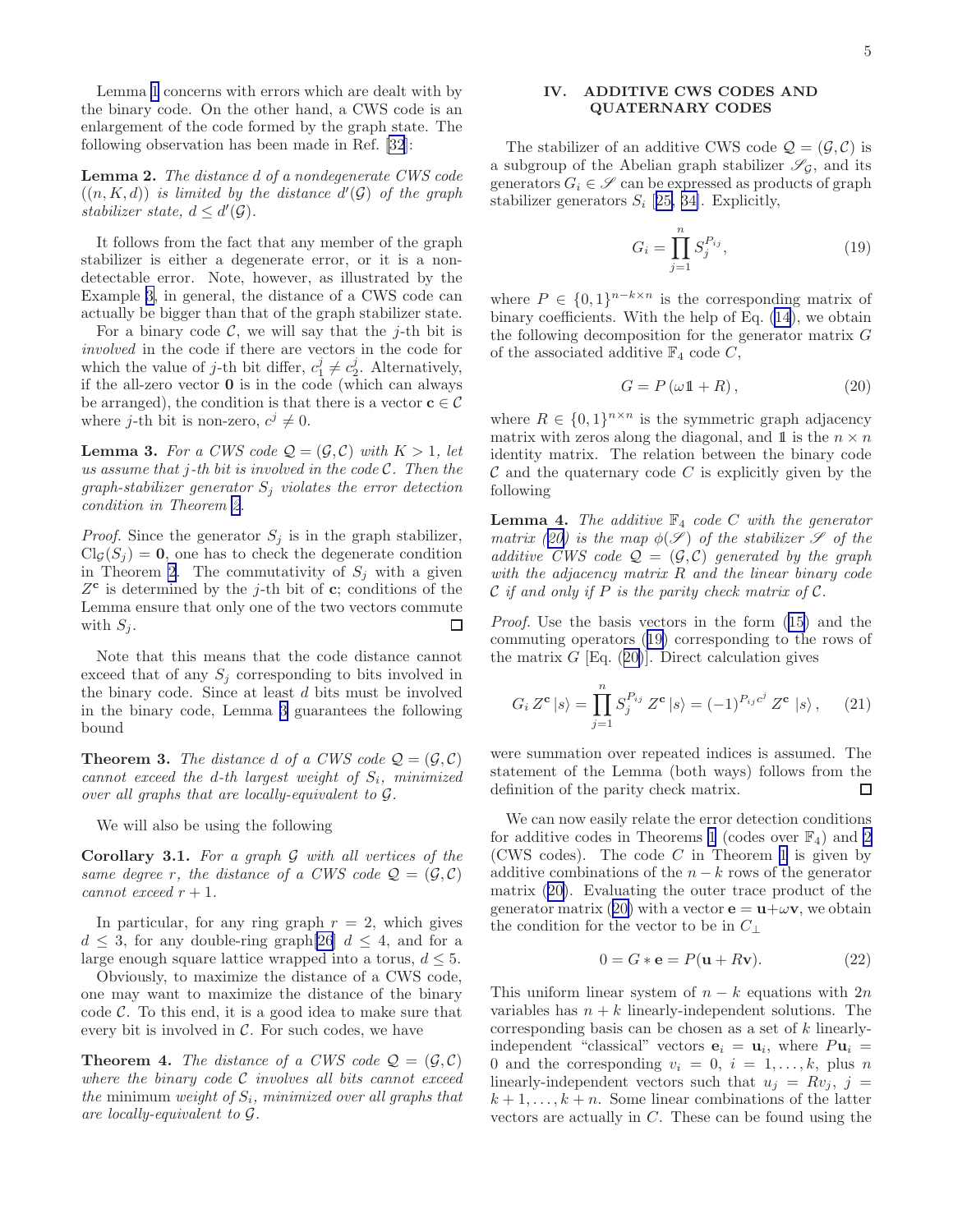<span id="page-4-0"></span>Lemma [1](#page-3-0) concerns with errors which are dealt with by the binary code. On the other hand, a CWS code is an enlargement of the code formed by the graph state. The following observation has been made in Ref. [\[32](#page-10-0)]:

Lemma 2. The distance d of a nondegenerate CWS code  $((n, K, d))$  is limited by the distance  $d'(\mathcal{G})$  of the graph stabilizer state,  $d \leq d'(\mathcal{G})$ .

It follows from the fact that any member of the graph stabilizer is either a degenerate error, or it is a nondetectable error. Note, however, as illustrated by the Example [3,](#page-3-0) in general, the distance of a CWS code can actually be bigger than that of the graph stabilizer state.

For a binary code  $C$ , we will say that the j-th bit is involved in the code if there are vectors in the code for which the value of *j*-th bit differ,  $c_1^j \neq c_2^j$ . Alternatively, if the all-zero vector 0 is in the code (which can always be arranged), the condition is that there is a vector  $c \in \mathcal{C}$ where *j*-th bit is non-zero,  $c^j \neq 0$ .

**Lemma 3.** For a CWS code  $Q = (\mathcal{G}, \mathcal{C})$  with  $K > 1$ , let us assume that  $j$ -th bit is involved in the code  $\mathcal{C}$ . Then the graph-stabilizer generator  $S_i$  violates the error detection condition in Theorem [2](#page-3-0).

*Proof.* Since the generator  $S_j$  is in the graph stabilizer,  $Cl_G(S_j) = 0$ , one has to check the degenerate condition in Theorem [2](#page-3-0). The commutativity of  $S_j$  with a given  $Z^{\mathbf{c}}$  is determined by the j-th bit of **c**; conditions of the Lemma ensure that only one of the two vectors commute with  $S_i$ .  $\Box$ 

Note that this means that the code distance cannot exceed that of any  $S_j$  corresponding to bits involved in the binary code. Since at least  $d$  bits must be involved in the binary code, Lemma 3 guarantees the following bound

**Theorem 3.** The distance d of a CWS code  $Q = (\mathcal{G}, \mathcal{C})$ cannot exceed the d-th largest weight of  $S_i$ , minimized over all graphs that are locally-equivalent to G.

We will also be using the following

**Corollary 3.1.** For a graph  $\mathcal G$  with all vertices of the same degree r, the distance of a CWS code  $\mathcal{Q} = (\mathcal{G}, \mathcal{C})$ cannot exceed  $r + 1$ .

In particular, for any ring graph  $r = 2$ , which gives  $d \leq 3$ , for any double-ring graph[\[26\]](#page-10-0)  $d \leq 4$ , and for a large enough square lattice wrapped into a torus,  $d \leq 5$ .

Obviously, to maximize the distance of a CWS code, one may want to maximize the distance of the binary code  $\mathcal{C}$ . To this end, it is a good idea to make sure that every bit is involved in  $\mathcal{C}$ . For such codes, we have

**Theorem 4.** The distance of a CWS code  $Q = (G, C)$ where the binary code  $\mathcal C$  involves all bits cannot exceed the minimum weight of  $S_i$ , minimized over all graphs that are locally-equivalent to G.

# IV. ADDITIVE CWS CODES AND QUATERNARY CODES

The stabilizer of an additive CWS code  $\mathcal{Q} = (\mathcal{G}, \mathcal{C})$  is a subgroup of the Abelian graph stabilizer  $\mathscr{S}_{\mathcal{G}}$ , and its generators  $G_i \in \mathscr{S}$  can be expressed as products of graph stabilizer generators  $S_i$  [[25, 34\]](#page-10-0). Explicitly,

$$
G_i = \prod_{j=1}^{n} S_j^{P_{ij}},
$$
\n(19)

where  $P \in \{0,1\}^{n-k \times n}$  is the corresponding matrix of binary coefficients. With the help of Eq. [\(14](#page-2-0)), we obtain the following decomposition for the generator matrix G of the associated additive  $\mathbb{F}_4$  code C,

$$
G = P(\omega \mathbb{1} + R), \tag{20}
$$

where  $R \in \{0,1\}^{n \times n}$  is the symmetric graph adjacency matrix with zeros along the diagonal, and 1 is the  $n \times n$ identity matrix. The relation between the binary code  $\mathcal C$  and the quaternary code  $C$  is explicitly given by the following

**Lemma 4.** The additive  $\mathbb{F}_4$  code C with the generator matrix (20) is the map  $\phi(\mathscr{S})$  of the stabilizer  $\mathscr{S}$  of the additive CWS code  $\mathcal{Q} = (\mathcal{G}, \mathcal{C})$  generated by the graph with the adjacency matrix R and the linear binary code  $\mathcal C$  if and only if P is the parity check matrix of  $\mathcal C$ .

Proof. Use the basis vectors in the form([15\)](#page-3-0) and the commuting operators (19) corresponding to the rows of the matrix  $G$  [Eq. (20)]. Direct calculation gives

$$
G_i Z^{\mathbf{c}} |s\rangle = \prod_{j=1}^n S_j^{P_{ij}} Z^{\mathbf{c}} |s\rangle = (-1)^{P_{ij}c^j} Z^{\mathbf{c}} |s\rangle, \quad (21)
$$

were summation over repeated indices is assumed. The statement of the Lemma (both ways) follows from the definition of the parity check matrix.  $\Box$ 

We can now easily relate the error detection conditions for additive codes in Theorems [1](#page-2-0) (codes over  $\mathbb{F}_4$ ) and [2](#page-3-0) (CWS codes). The code  $C$  in Theorem [1](#page-2-0) is given by additive combinations of the  $n - k$  rows of the generator matrix (20). Evaluating the outer trace product of the generator matrix (20) with a vector  $\mathbf{e} = \mathbf{u} + \omega \mathbf{v}$ , we obtain the condition for the vector to be in  $C_{\perp}$ 

$$
0 = G * \mathbf{e} = P(\mathbf{u} + R\mathbf{v}).\tag{22}
$$

This uniform linear system of  $n - k$  equations with 2n variables has  $n + k$  linearly-independent solutions. The corresponding basis can be chosen as a set of k linearlyindependent "classical" vectors  $\mathbf{e}_i = \mathbf{u}_i$ , where  $P\mathbf{u}_i =$ 0 and the corresponding  $v_i = 0, i = 1, \ldots, k$ , plus n linearly-independent vectors such that  $u_j = Rv_j$ ,  $j =$  $k+1,\ldots,k+n$ . Some linear combinations of the latter vectors are actually in  $C$ . These can be found using the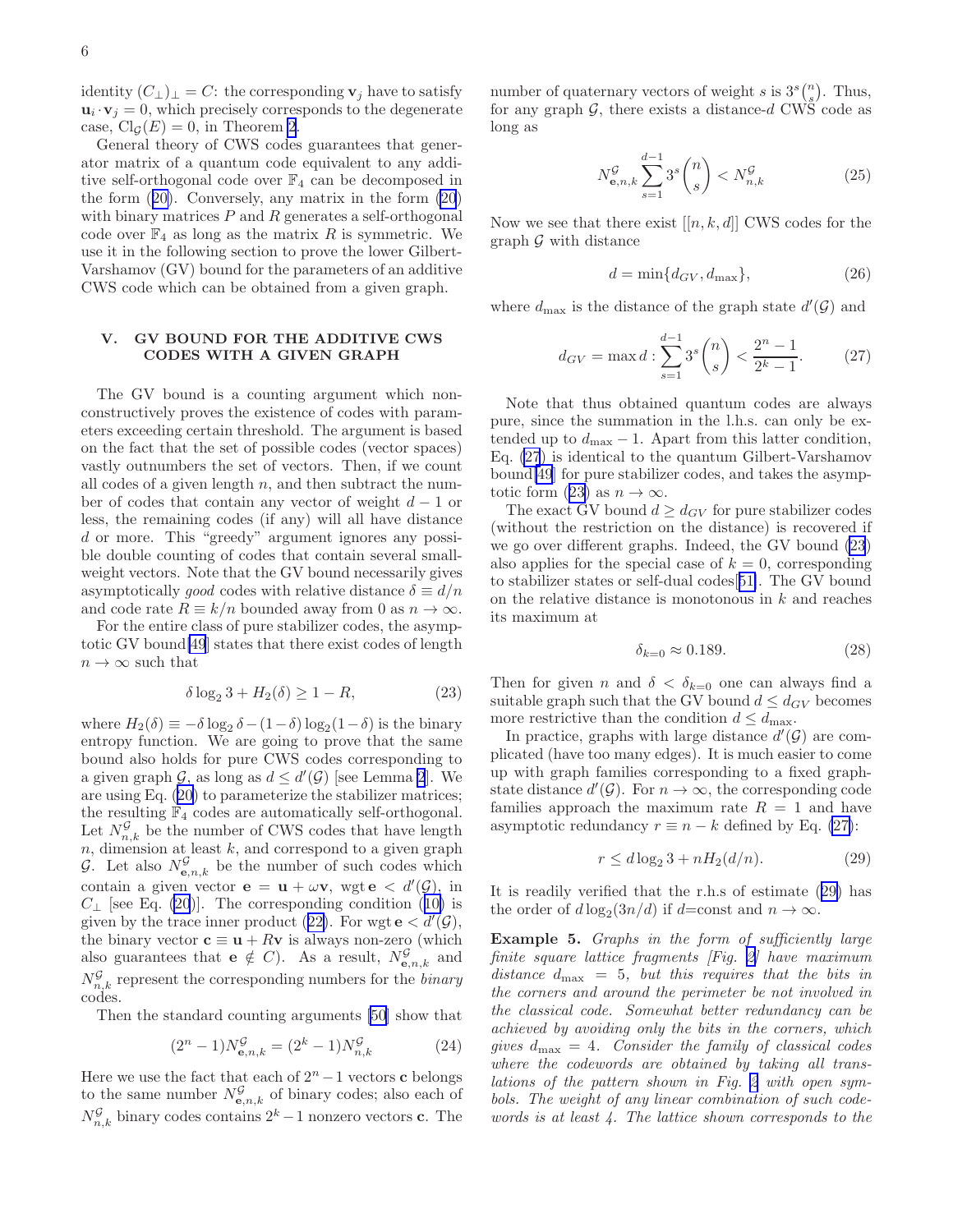<span id="page-5-0"></span>identity  $(C_{\perp})_{\perp} = C$ : the corresponding  $v_j$  have to satisfy  $\mathbf{u}_i \cdot \mathbf{v}_j = 0$ , which precisely corresponds to the degenerate case,  $Cl_G(E) = 0$ , in Theorem [2](#page-3-0).

General theory of CWS codes guarantees that generator matrix of a quantum code equivalent to any additive self-orthogonal code over  $\mathbb{F}_4$  can be decomposed in the form([20\)](#page-4-0). Conversely, any matrix in the form [\(20](#page-4-0)) with binary matrices  $P$  and  $R$  generates a self-orthogonal code over  $\mathbb{F}_4$  as long as the matrix R is symmetric. We use it in the following section to prove the lower Gilbert-Varshamov (GV) bound for the parameters of an additive CWS code which can be obtained from a given graph.

### V. GV BOUND FOR THE ADDITIVE CWS CODES WITH A GIVEN GRAPH

The GV bound is a counting argument which nonconstructively proves the existence of codes with parameters exceeding certain threshold. The argument is based on the fact that the set of possible codes (vector spaces) vastly outnumbers the set of vectors. Then, if we count all codes of a given length  $n$ , and then subtract the number of codes that contain any vector of weight  $d-1$  or less, the remaining codes (if any) will all have distance d or more. This "greedy" argument ignores any possible double counting of codes that contain several smallweight vectors. Note that the GV bound necessarily gives asymptotically good codes with relative distance  $\delta \equiv d/n$ and code rate  $R \equiv k/n$  bounded away from 0 as  $n \to \infty$ .

For the entire class of pure stabilizer codes, the asymptotic GV bound[\[49](#page-11-0)] states that there exist codes of length  $n \to \infty$  such that

$$
\delta \log_2 3 + H_2(\delta) \ge 1 - R,\tag{23}
$$

where  $H_2(\delta) \equiv -\delta \log_2 \delta - (1-\delta) \log_2 (1-\delta)$  is the binary entropy function. We are going to prove that the same bound also holds for pure CWS codes corresponding to a given graph  $\mathcal{G}$ , as long as  $d \leq d'(\mathcal{G})$  [see Lemma [2](#page-4-0)]. We are using Eq. [\(20](#page-4-0)) to parameterize the stabilizer matrices; the resulting  $\mathbb{F}_4$  codes are automatically self-orthogonal. Let  $N_{n,k}^{\mathcal{G}}$  be the number of CWS codes that have length  $n$ , dimension at least  $k$ , and correspond to a given graph G. Let also  $N_{\mathbf{e},n,k}^{\mathcal{G}}$  be the number of such codes which contain a given vector  $\mathbf{e} = \mathbf{u} + \omega \mathbf{v}$ , wgt  $\mathbf{e} < d'(\mathcal{G})$ , in  $C_{\perp}$  [see Eq. [\(20](#page-4-0))].The corresponding condition ([10\)](#page-2-0) is givenby the trace inner product ([22\)](#page-4-0). For wgt  $e < d'(\mathcal{G})$ , the binary vector  $\mathbf{c} \equiv \mathbf{u} + R\mathbf{v}$  is always non-zero (which also guarantees that  $e \notin C$ ). As a result,  $N_{e,n,k}^{\mathcal{G}}$  and  $N_{n,k}^{\mathcal{G}}$  represent the corresponding numbers for the *binary* codes.

Then the standard counting arguments [\[50](#page-11-0)] show that

$$
(2n - 1)NGe,n,k = (2k - 1)NGn,k
$$
 (24)

Here we use the fact that each of  $2<sup>n</sup> - 1$  vectors **c** belongs to the same number  $N_{\mathbf{e},n,k}^{\mathcal{G}}$  of binary codes; also each of  $N_{n,k}^{\mathcal{G}}$  binary codes contains  $2^k - 1$  nonzero vectors **c**. The

number of quaternary vectors of weight s is  $3^s \binom{n}{s}$ . Thus, for any graph  $\mathcal{G}$ , there exists a distance-d CWS code as long as

$$
N_{\mathbf{e},n,k}^{\mathcal{G}} \sum_{s=1}^{d-1} 3^s \binom{n}{s} < N_{n,k}^{\mathcal{G}} \tag{25}
$$

Now we see that there exist  $[[n, k, d]]$  CWS codes for the graph  $\mathcal G$  with distance

$$
d = \min\{d_{GV}, d_{\text{max}}\},\tag{26}
$$

where  $d_{\text{max}}$  is the distance of the graph state  $d'(\mathcal{G})$  and

$$
d_{GV} = \max d : \sum_{s=1}^{d-1} 3^s \binom{n}{s} < \frac{2^n - 1}{2^k - 1}.\tag{27}
$$

Note that thus obtained quantum codes are always pure, since the summation in the l.h.s. can only be extended up to  $d_{\text{max}} - 1$ . Apart from this latter condition, Eq. (27) is identical to the quantum Gilbert-Varshamov bound[\[49](#page-11-0)] for pure stabilizer codes, and takes the asymptotic form (23) as  $n \to \infty$ .

The exact GV bound  $d \geq d_{GV}$  for pure stabilizer codes (without the restriction on the distance) is recovered if we go over different graphs. Indeed, the GV bound (23) also applies for the special case of  $k = 0$ , corresponding to stabilizer states or self-dual codes[[51\]](#page-11-0). The GV bound on the relative distance is monotonous in  $k$  and reaches its maximum at

$$
\delta_{k=0} \approx 0.189. \tag{28}
$$

Then for given n and  $\delta < \delta_{k=0}$  one can always find a suitable graph such that the GV bound  $d \leq d_{GV}$  becomes more restrictive than the condition  $d \leq d_{\text{max}}$ .

In practice, graphs with large distance  $d'(\mathcal{G})$  are complicated (have too many edges). It is much easier to come up with graph families corresponding to a fixed graphstate distance  $d'(\mathcal{G})$ . For  $n \to \infty$ , the corresponding code families approach the maximum rate  $R = 1$  and have asymptotic redundancy  $r \equiv n - k$  defined by Eq. (27):

$$
r \le d \log_2 3 + n H_2(d/n). \tag{29}
$$

It is readily verified that the r.h.s of estimate (29) has the order of  $d \log_2(3n/d)$  if d=const and  $n \to \infty$ .

Example 5. Graphs in the form of sufficiently large finite square lattice fragments [Fig. [2\]](#page-6-0) have maximum distance  $d_{\text{max}} = 5$ , but this requires that the bits in the corners and around the perimeter be not involved in the classical code. Somewhat better redundancy can be achieved by avoiding only the bits in the corners, which gives  $d_{\text{max}} = 4$ . Consider the family of classical codes where the codewords are obtained by taking all translations of the pattern shown in Fig. [2](#page-6-0) with open symbols. The weight of any linear combination of such codewords is at least 4. The lattice shown corresponds to the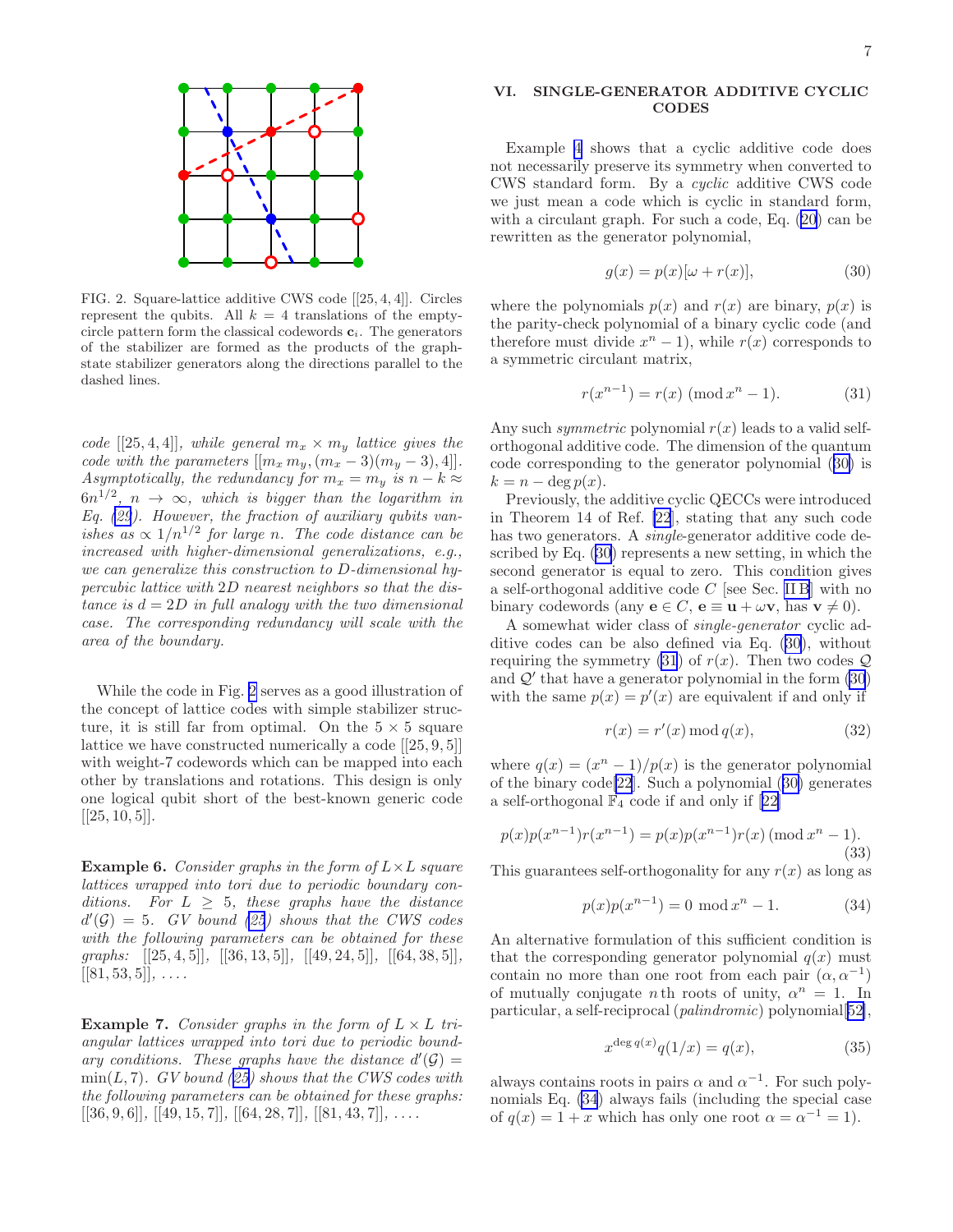<span id="page-6-0"></span>

FIG. 2. Square-lattice additive CWS code [[25, 4, 4]]. Circles represent the qubits. All  $k = 4$  translations of the emptycircle pattern form the classical codewords  $c_i$ . The generators of the stabilizer are formed as the products of the graphstate stabilizer generators along the directions parallel to the dashed lines.

code [[25, 4, 4]], while general  $m_x \times m_y$  lattice gives the code with the parameters  $[[m_x m_y,(m_x-3)(m_y-3),4]].$ Asymptotically, the redundancy for  $m_x = m_y$  is  $n - k \approx$  $6n^{1/2}$ ,  $n \rightarrow \infty$ , which is bigger than the logarithm in Eq.  $(29)$ . However, the fraction of auxiliary qubits vanishes as  $\propto 1/n^{1/2}$  for large n. The code distance can be increased with higher-dimensional generalizations, e.g., we can generalize this construction to D-dimensional hypercubic lattice with 2D nearest neighbors so that the distance is  $d = 2D$  in full analogy with the two dimensional case. The corresponding redundancy will scale with the area of the boundary.

While the code in Fig. 2 serves as a good illustration of the concept of lattice codes with simple stabilizer structure, it is still far from optimal. On the  $5 \times 5$  square lattice we have constructed numerically a code [[25, 9, 5]] with weight-7 codewords which can be mapped into each other by translations and rotations. This design is only one logical qubit short of the best-known generic code  $[[25, 10, 5]].$ 

**Example 6.** Consider graphs in the form of  $L \times L$  square lattices wrapped into tori due to periodic boundary conditions. For  $L \geq 5$ , these graphs have the distance  $d'(\mathcal{G}) = 5$ . GV bound [\(25](#page-5-0)) shows that the CWS codes with the following parameters can be obtained for these graphs:  $[[25, 4, 5]], [[36, 13, 5]], [[49, 24, 5]], [[64, 38, 5]],$  $[[81, 53, 5]], \ldots$ 

**Example 7.** Consider graphs in the form of  $L \times L$  triangular lattices wrapped into tori due to periodic boundary conditions. These graphs have the distance  $d'(\mathcal{G}) =$  $min(L, 7)$  $min(L, 7)$  $min(L, 7)$ . GV bound ([25\)](#page-5-0) shows that the CWS codes with the following parameters can be obtained for these graphs:  $[[36, 9, 6]], [[49, 15, 7]], [[64, 28, 7]], [[81, 43, 7]], \ldots$ 

# VI. SINGLE-GENERATOR ADDITIVE CYCLIC CODES

Example [4](#page-3-0) shows that a cyclic additive code does not necessarily preserve its symmetry when converted to CWS standard form. By a cyclic additive CWS code we just mean a code which is cyclic in standard form, with a circulant graph. For such a code, Eq.([20\)](#page-4-0) can be rewritten as the generator polynomial,

$$
g(x) = p(x)[\omega + r(x)], \qquad (30)
$$

where the polynomials  $p(x)$  and  $r(x)$  are binary,  $p(x)$  is the parity-check polynomial of a binary cyclic code (and therefore must divide  $x^n - 1$ , while  $r(x)$  corresponds to a symmetric circulant matrix,

$$
r(x^{n-1}) = r(x) \pmod{x^n - 1}.
$$
 (31)

Any such *symmetric* polynomial  $r(x)$  leads to a valid selforthogonal additive code. The dimension of the quantum code corresponding to the generator polynomial (30) is  $k = n - \deg p(x)$ .

Previously, the additive cyclic QECCs were introduced in Theorem 14 of Ref. [\[22](#page-10-0)], stating that any such code has two generators. A *single*-generator additive code described by Eq. (30) represents a new setting, in which the second generator is equal to zero. This condition gives a self-orthogonal additive code  $C$  [see Sec. [II B](#page-1-0)] with no binary codewords (any  $e \in C$ ,  $e \equiv u + \omega v$ , has  $v \neq 0$ ).

A somewhat wider class of single-generator cyclic additive codes can be also defined via Eq. (30), without requiring the symmetry (31) of  $r(x)$ . Then two codes  $Q$ and  $Q'$  that have a generator polynomial in the form  $(30)$ with the same  $p(x) = p'(x)$  are equivalent if and only if

$$
r(x) = r'(x) \operatorname{mod} q(x),\tag{32}
$$

where  $q(x) = (x^{n} - 1)/p(x)$  is the generator polynomial of the binary code[\[22](#page-10-0)]. Such a polynomial (30) generates aself-orthogonal  $\mathbb{F}_4$  code if and only if [[22\]](#page-10-0)

$$
p(x)p(x^{n-1})r(x^{n-1}) = p(x)p(x^{n-1})r(x) \pmod{x^n - 1}.
$$
\n(33)

This guarantees self-orthogonality for any  $r(x)$  as long as

$$
p(x)p(x^{n-1}) = 0 \mod x^n - 1.
$$
 (34)

An alternative formulation of this sufficient condition is that the corresponding generator polynomial  $q(x)$  must contain no more than one root from each pair  $(\alpha, \alpha^{-1})$ of mutually conjugate *n*th roots of unity,  $\alpha^n = 1$ . In particular, a self-reciprocal (palindromic) polynomial[[52\]](#page-11-0),

$$
x^{\deg q(x)}q(1/x) = q(x),\tag{35}
$$

always contains roots in pairs  $\alpha$  and  $\alpha^{-1}$ . For such polynomials Eq. (34) always fails (including the special case of  $q(x) = 1 + x$  which has only one root  $\alpha = \alpha^{-1} = 1$ .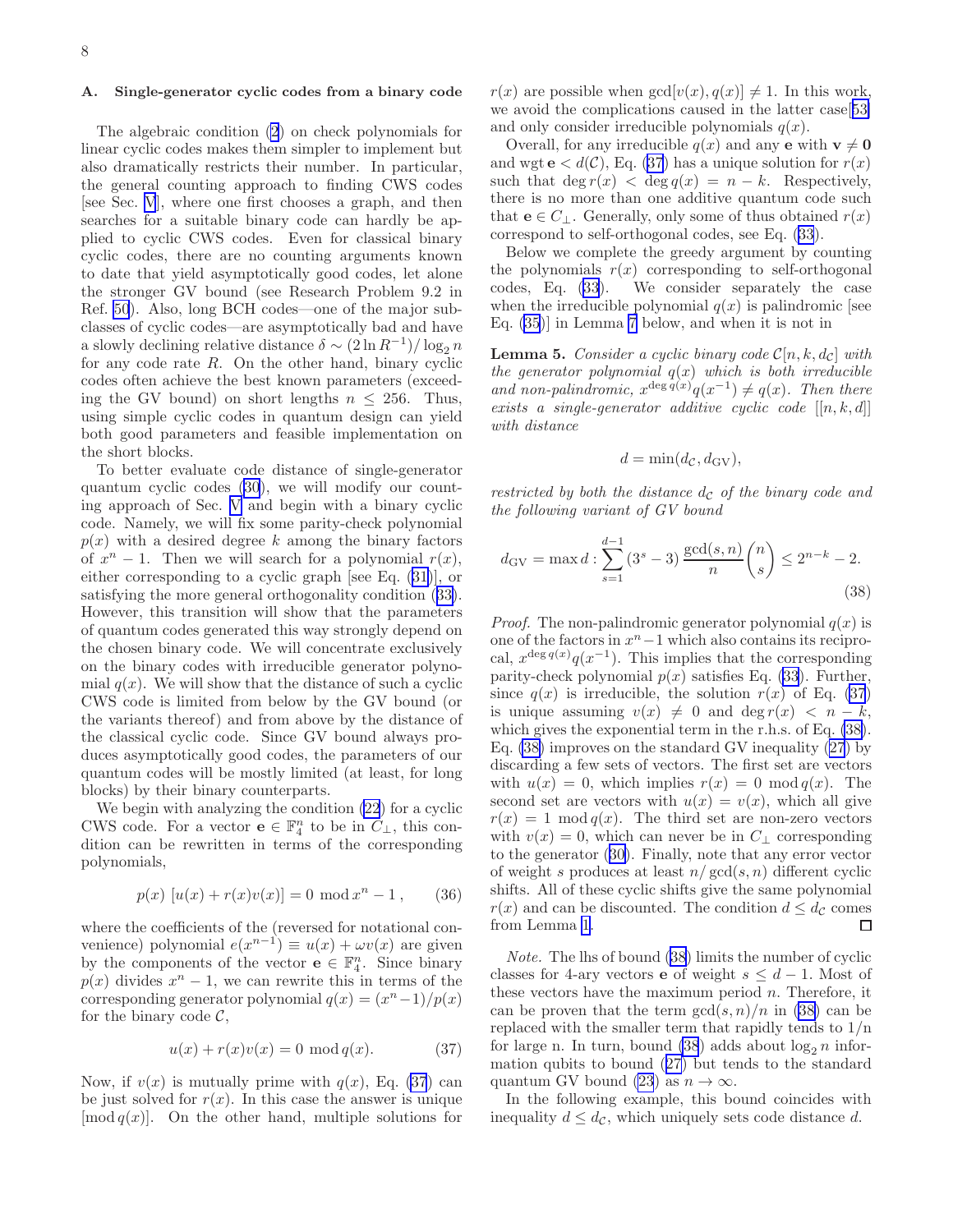### <span id="page-7-0"></span>A. Single-generator cyclic codes from a binary code

The algebraic condition [\(2](#page-1-0)) on check polynomials for linear cyclic codes makes them simpler to implement but also dramatically restricts their number. In particular, the general counting approach to finding CWS codes [see Sec. [V](#page-5-0)], where one first chooses a graph, and then searches for a suitable binary code can hardly be applied to cyclic CWS codes. Even for classical binary cyclic codes, there are no counting arguments known to date that yield asymptotically good codes, let alone the stronger GV bound (see Research Problem 9.2 in Ref. [50](#page-11-0)). Also, long BCH codes—one of the major subclasses of cyclic codes—are asymptotically bad and have a slowly declining relative distance  $\delta \sim (2 \ln R^{-1})/\log_2 n$ for any code rate  $R$ . On the other hand, binary cyclic codes often achieve the best known parameters (exceeding the GV bound) on short lengths  $n \leq 256$ . Thus, using simple cyclic codes in quantum design can yield both good parameters and feasible implementation on the short blocks.

To better evaluate code distance of single-generator quantum cyclic codes([30](#page-6-0)), we will modify our counting approach of Sec. [V](#page-5-0) and begin with a binary cyclic code. Namely, we will fix some parity-check polynomial  $p(x)$  with a desired degree k among the binary factors of  $x^n - 1$ . Then we will search for a polynomial  $r(x)$ , either corresponding to a cyclic graph [see Eq.([31](#page-6-0))], or satisfying the more general orthogonality condition([33\)](#page-6-0). However, this transition will show that the parameters of quantum codes generated this way strongly depend on the chosen binary code. We will concentrate exclusively on the binary codes with irreducible generator polynomial  $q(x)$ . We will show that the distance of such a cyclic CWS code is limited from below by the GV bound (or the variants thereof) and from above by the distance of the classical cyclic code. Since GV bound always produces asymptotically good codes, the parameters of our quantum codes will be mostly limited (at least, for long blocks) by their binary counterparts.

We begin with analyzing the condition [\(22](#page-4-0)) for a cyclic CWS code. For a vector  $\mathbf{e} \in \mathbb{F}_4^n$  to be in  $C_{\perp}$ , this condition can be rewritten in terms of the corresponding polynomials,

$$
p(x) [u(x) + r(x)v(x)] = 0 \text{ mod } x^{n} - 1, \qquad (36)
$$

where the coefficients of the (reversed for notational convenience) polynomial  $e(x^{n-1}) \equiv u(x) + \omega v(x)$  are given by the components of the vector  $\mathbf{e} \in \mathbb{F}_4^n$ . Since binary  $p(x)$  divides  $x^n - 1$ , we can rewrite this in terms of the corresponding generator polynomial  $q(x) = \frac{x^{n}-1}{p(x)}$ for the binary code  $\mathcal{C},$ 

$$
u(x) + r(x)v(x) = 0 \mod q(x). \tag{37}
$$

Now, if  $v(x)$  is mutually prime with  $q(x)$ , Eq. (37) can be just solved for  $r(x)$ . In this case the answer is unique  $\pmod{q(x)}$ . On the other hand, multiple solutions for  $r(x)$  are possible when  $gcd[v(x), q(x)] \neq 1$ . In this work, we avoid the complications caused in the latter case[[53\]](#page-11-0) and only consider irreducible polynomials  $q(x)$ .

Overall, for any irreducible  $q(x)$  and any **e** with  $\mathbf{v} \neq \mathbf{0}$ and wgt  $e < d(C)$ , Eq. (37) has a unique solution for  $r(x)$ such that  $\deg r(x) < \deg q(x) = n - k$ . Respectively, there is no more than one additive quantum code such that  $e \in C_1$ . Generally, only some of thus obtained  $r(x)$ correspond to self-orthogonal codes, see Eq. [\(33](#page-6-0)).

Below we complete the greedy argument by counting the polynomials  $r(x)$  corresponding to self-orthogonal codes, Eq. [\(33](#page-6-0)). We consider separately the case when the irreducible polynomial  $q(x)$  is palindromic [see Eq. [\(35](#page-6-0))] in Lemma [7](#page-8-0) below, and when it is not in

**Lemma 5.** Consider a cyclic binary code  $C[n, k, d_c]$  with the generator polynomial  $q(x)$  which is both irreducible and non-palindromic,  $x^{\deg q(x)}q(x^{-1}) \neq q(x)$ . Then there exists a single-generator additive cyclic code  $[[n, k, d]]$ with distance

$$
d = \min(d_{\mathcal{C}}, d_{\mathcal{G}\mathcal{V}}),
$$

restricted by both the distance  $d_{\mathcal{C}}$  of the binary code and the following variant of GV bound

$$
d_{\rm GV} = \max d : \sum_{s=1}^{d-1} (3^s - 3) \frac{\gcd(s, n)}{n} \binom{n}{s} \le 2^{n-k} - 2.
$$
\n(38)

*Proof.* The non-palindromic generator polynomial  $q(x)$  is one of the factors in  $x^n - 1$  which also contains its reciprocal,  $x^{\deg q(x)}q(x^{-1})$ . This implies that the corresponding parity-check polynomial  $p(x)$  satisfies Eq. [\(33](#page-6-0)). Further, since  $q(x)$  is irreducible, the solution  $r(x)$  of Eq. (37) is unique assuming  $v(x) \neq 0$  and deg  $r(x) < n - k$ , which gives the exponential term in the r.h.s. of Eq. (38). Eq. (38) improves on the standard GV inequality [\(27](#page-5-0)) by discarding a few sets of vectors. The first set are vectors with  $u(x) = 0$ , which implies  $r(x) = 0 \mod q(x)$ . The second set are vectors with  $u(x) = v(x)$ , which all give  $r(x) = 1 \mod q(x)$ . The third set are non-zero vectors with  $v(x) = 0$ , which can never be in  $C_{\perp}$  corresponding to the generator([30\)](#page-6-0). Finally, note that any error vector of weight s produces at least  $n/gcd(s, n)$  different cyclic shifts. All of these cyclic shifts give the same polynomial  $r(x)$  and can be discounted. The condition  $d \leq d_{\mathcal{C}}$  comes from Lemma [1](#page-3-0). □

Note. The lhs of bound (38) limits the number of cyclic classes for 4-ary vectors **e** of weight  $s \leq d - 1$ . Most of these vectors have the maximum period  $n$ . Therefore, it can be proven that the term  $gcd(s, n)/n$  in (38) can be replaced with the smaller term that rapidly tends to  $1/n$ for large n. In turn, bound  $(38)$  adds about  $\log_2 n$  information qubits to bound([27\)](#page-5-0) but tends to the standard quantum GV bound [\(23](#page-5-0)) as  $n \to \infty$ .

In the following example, this bound coincides with inequality  $d \leq d_{\mathcal{C}}$ , which uniquely sets code distance d.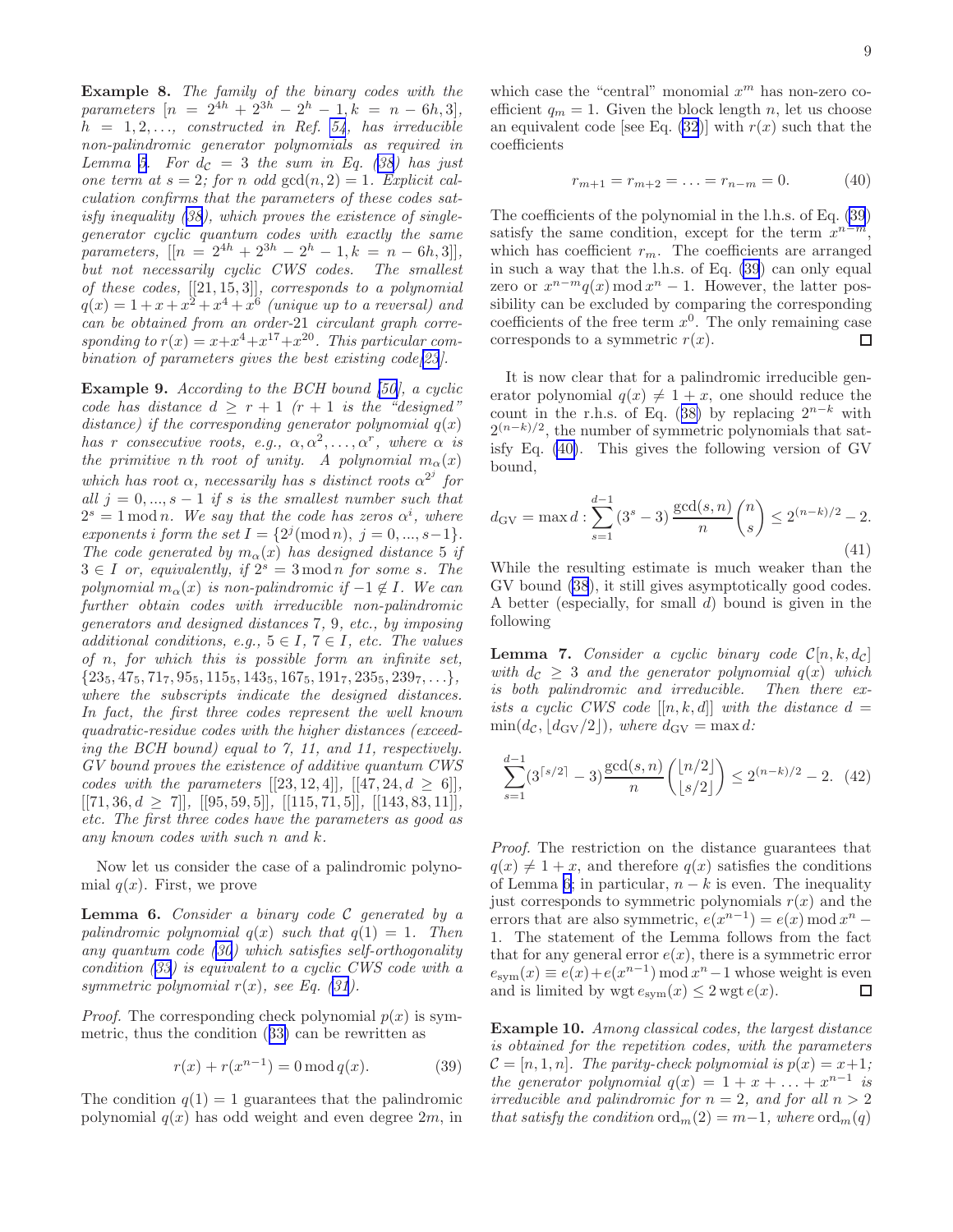<span id="page-8-0"></span>Example 8. The family of the binary codes with the parameters  $[n = 2^{4h} + 2^{3h} - 2^h - 1, k = n - 6h, 3],$  $h = 1, 2, \ldots$ , constructed in Ref. [54](#page-11-0), has irreducible non-palindromic generator polynomials as required in Lemma [5.](#page-7-0)For  $d_{\mathcal{C}} = 3$  the sum in Eq. ([38\)](#page-7-0) has just one term at  $s = 2$ ; for n odd  $gcd(n, 2) = 1$ . Explicit calculation confirms that the parameters of these codes satisfy inequality([38\)](#page-7-0), which proves the existence of singlegenerator cyclic quantum codes with exactly the same parameters,  $[[n = 2^{4h} + 2^{3h} - 2^h - 1, k = n - 6h, 3]],$ but not necessarily cyclic CWS codes. The smallest of these codes,  $[[21, 15, 3]],$  corresponds to a polynomial  $q(x) = 1 + x + x^2 + x^4 + x^6$  (unique up to a reversal) and can be obtained from an order-21 circulant graph corresponding to  $r(x) = x + x^4 + x^{17} + x^{20}$ . This particular com-bination of parameters gives the best existing code[[23](#page-10-0)].

Example 9. According to the BCH bound [\[50\]](#page-11-0), a cyclic code has distance  $d > r + 1$  ( $r + 1$  is the "designed" distance) if the corresponding generator polynomial  $q(x)$ has r consecutive roots, e.g.,  $\alpha, \alpha^2, \ldots, \alpha^r$ , where  $\alpha$  is the primitive n th root of unity. A polynomial  $m_{\alpha}(x)$ which has root  $\alpha$ , necessarily has s distinct roots  $\alpha^{2^j}$  for all  $j = 0, ..., s - 1$  if s is the smallest number such that  $2<sup>s</sup> = 1$  mod n. We say that the code has zeros  $\alpha<sup>i</sup>$ , where exponents i form the set  $I = \{2^j (mod n), j = 0, ..., s - 1\}.$ The code generated by  $m_{\alpha}(x)$  has designed distance 5 if  $3 \in I$  or, equivalently, if  $2<sup>s</sup> = 3 \text{ mod } n$  for some s. The polynomial  $m_{\alpha}(x)$  is non-palindromic if  $-1 \notin I$ . We can further obtain codes with irreducible non-palindromic generators and designed distances 7, 9, etc., by imposing additional conditions, e.g.,  $5 \in I$ ,  $7 \in I$ , etc. The values of n, for which this is possible form an infinite set,  $\{23_5, 47_5, 71_7, 95_5, 115_5, 143_5, 167_5, 191_7, 235_5, 239_7, \ldots\},\$ where the subscripts indicate the designed distances. In fact, the first three codes represent the well known quadratic-residue codes with the higher distances (exceeding the BCH bound) equal to 7, 11, and 11, respectively. GV bound proves the existence of additive quantum CWS codes with the parameters  $[[23, 12, 4]$ ,  $[[47, 24, d > 6]$ ,  $[[71, 36, d \ge 7]], [[95, 59, 5]], [[115, 71, 5]], [[143, 83, 11]],$ etc. The first three codes have the parameters as good as any known codes with such n and k.

Now let us consider the case of a palindromic polynomial  $q(x)$ . First, we prove

**Lemma 6.** Consider a binary code  $C$  generated by a palindromic polynomial  $q(x)$  such that  $q(1) = 1$ . Then any quantum code([30](#page-6-0)) which satisfies self-orthogonality condition([33\)](#page-6-0) is equivalent to a cyclic CWS code with a symmetricpolynomial  $r(x)$ , see Eq. ([31](#page-6-0)).

*Proof.* The corresponding check polynomial  $p(x)$  is symmetric, thus the condition([33\)](#page-6-0) can be rewritten as

$$
r(x) + r(x^{n-1}) = 0 \mod q(x). \tag{39}
$$

The condition  $q(1) = 1$  guarantees that the palindromic polynomial  $q(x)$  has odd weight and even degree  $2m$ , in

which case the "central" monomial  $x^m$  has non-zero coefficient  $q_m = 1$ . Given the block length n, let us choose an equivalent code [see Eq. [\(32](#page-6-0))] with  $r(x)$  such that the coefficients

$$
r_{m+1} = r_{m+2} = \dots = r_{n-m} = 0. \tag{40}
$$

The coefficients of the polynomial in the l.h.s. of Eq. (39) satisfy the same condition, except for the term  $x^{n-m}$ , which has coefficient  $r_m$ . The coefficients are arranged in such a way that the l.h.s. of Eq. (39) can only equal zero or  $x^{n-m}q(x) \bmod x^n - 1$ . However, the latter possibility can be excluded by comparing the corresponding coefficients of the free term  $x^0$ . The only remaining case corresponds to a symmetric  $r(x)$ . П

It is now clear that for a palindromic irreducible generator polynomial  $q(x) \neq 1 + x$ , one should reduce the countin the r.h.s. of Eq. ([38\)](#page-7-0) by replacing  $2^{n-k}$  with  $2^{(n-k)/2}$ , the number of symmetric polynomials that satisfy Eq. (40). This gives the following version of GV bound,

$$
d_{\rm GV} = \max d : \sum_{s=1}^{d-1} (3^s - 3) \frac{\gcd(s, n)}{n} \binom{n}{s} \le 2^{(n-k)/2} - 2.
$$
\n(41)

While the resulting estimate is much weaker than the GV bound [\(38](#page-7-0)), it still gives asymptotically good codes. A better (especially, for small d) bound is given in the following

**Lemma 7.** Consider a cyclic binary code  $C[n, k, d_c]$ with  $d_c \geq 3$  and the generator polynomial  $q(x)$  which is both palindromic and irreducible. Then there exists a cyclic CWS code  $[[n, k, d]]$  with the distance  $d =$  $\min(d_{\mathcal{C}}, |d_{\rm GV}/2|),$  where  $d_{\rm GV} = \max d$ :

$$
\sum_{s=1}^{d-1} (3^{\lceil s/2 \rceil} - 3) \frac{\gcd(s, n)}{n} \binom{\lfloor n/2 \rfloor}{\lfloor s/2 \rfloor} \le 2^{(n-k)/2} - 2. \tag{42}
$$

Proof. The restriction on the distance guarantees that  $q(x) \neq 1 + x$ , and therefore  $q(x)$  satisfies the conditions of Lemma 6; in particular,  $n - k$  is even. The inequality just corresponds to symmetric polynomials  $r(x)$  and the errors that are also symmetric,  $e(x^{n-1}) = e(x) \mod x^n$ 1. The statement of the Lemma follows from the fact that for any general error  $e(x)$ , there is a symmetric error  $e_{sym}(x) \equiv e(x) + e(x^{n-1}) \mod x^n - 1$  whose weight is even and is limited by  $\text{wgt } e_{\text{sym}}(x) \leq 2 \text{wgt } e(x)$ . □

Example 10. Among classical codes, the largest distance is obtained for the repetition codes, with the parameters  $\mathcal{C} = [n, 1, n]$ . The parity-check polynomial is  $p(x) = x+1$ ; the generator polynomial  $q(x) = 1 + x + ... + x^{n-1}$  is irreducible and palindromic for  $n = 2$ , and for all  $n > 2$ that satisfy the condition ord $_m(2) = m-1$ , where  $\text{ord}_m(q)$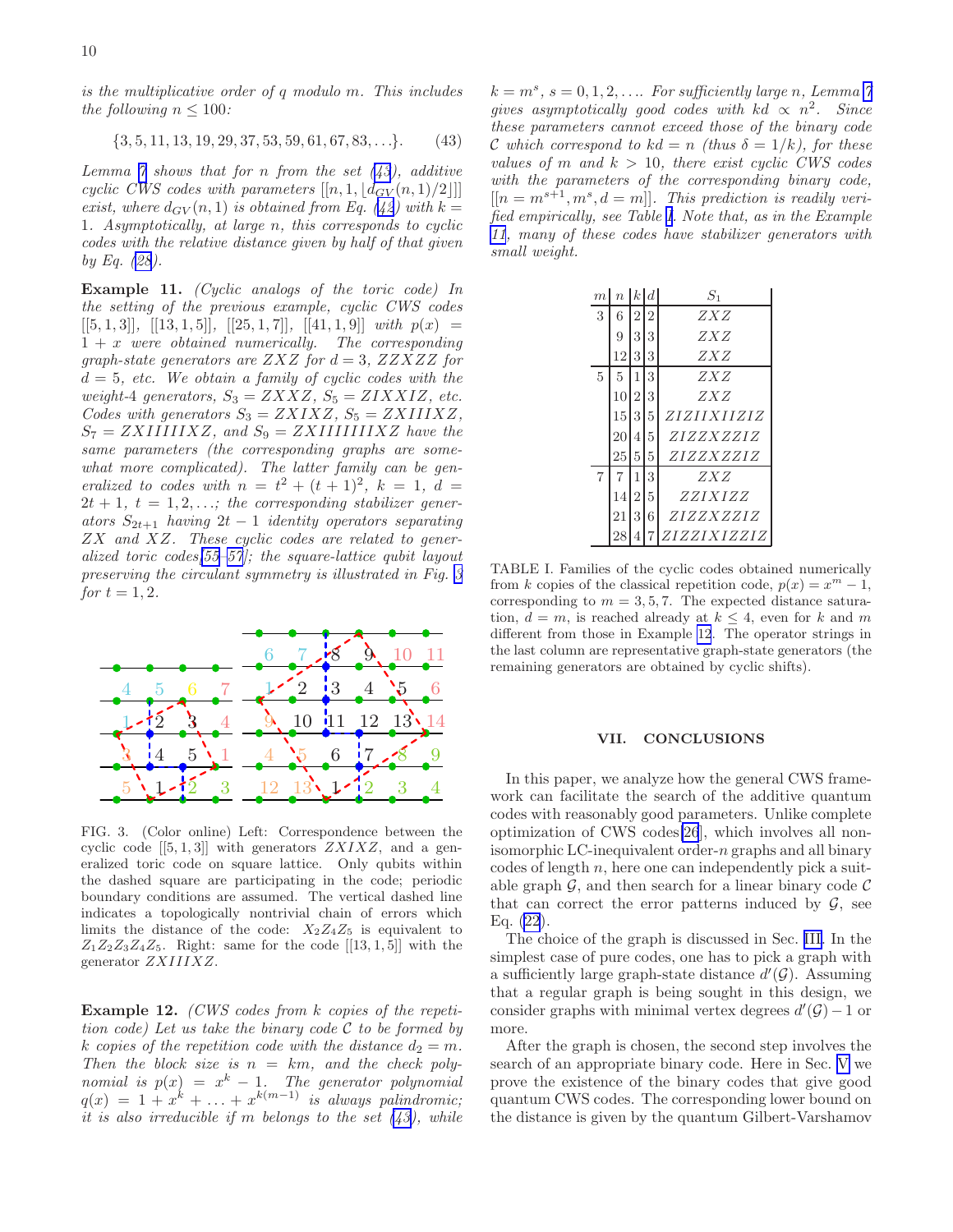<span id="page-9-0"></span>is the multiplicative order of q modulo m. This includes the following  $n \leq 100$ :

$$
\{3, 5, 11, 13, 19, 29, 37, 53, 59, 61, 67, 83, \ldots\}.
$$
 (43)

Lemma  $\tilde{\gamma}$  shows that for n from the set  $(43)$ , additive cyclic CWS codes with parameters  $[[n, 1, \lfloor d_{GV}(n, 1)/2 \rfloor]]$ exist,where  $d_{GV}(n,1)$  is obtained from Eq. ([42](#page-8-0)) with  $k =$ 1. Asymptotically, at large n, this corresponds to cyclic codes with the relative distance given by half of that given by Eq. [\(28](#page-5-0)).

Example 11. (Cyclic analogs of the toric code) In the setting of the previous example, cyclic CWS codes  $[[5, 1, 3]], [[13, 1, 5]], [[25, 1, 7]], [[41, 1, 9]] with p(x) =$  $1 + x$  were obtained numerically. The corresponding graph-state generators are  $ZXZ$  for  $d = 3$ ,  $ZZXZZ$  for  $d = 5$ , etc. We obtain a family of cyclic codes with the weight-4 generators,  $S_3 = ZXXZ$ ,  $S_5 = ZIXXIZ$ , etc. Codes with generators  $S_3 = ZXIXZ$ ,  $S_5 = ZXIIIXZ$ ,  $S_7 = ZXIIIIIIXZ$ , and  $S_9 = ZXIIIIIIIIXZ$  have the same parameters (the corresponding graphs are somewhat more complicated). The latter family can be generalized to codes with  $n = t^2 + (t+1)^2$ ,  $k = 1$ ,  $d =$  $2t + 1$ ,  $t = 1, 2, \ldots$ ; the corresponding stabilizer generators  $S_{2t+1}$  having  $2t-1$  identity operators separating ZX and XZ. These cyclic codes are related to generalized toric codes[\[55–57](#page-11-0)]; the square-lattice qubit layout preserving the circulant symmetry is illustrated in Fig. 3 for  $t = 1, 2$ .



FIG. 3. (Color online) Left: Correspondence between the cyclic code  $[[5, 1, 3]]$  with generators  $ZXIXZ$ , and a generalized toric code on square lattice. Only qubits within the dashed square are participating in the code; periodic boundary conditions are assumed. The vertical dashed line indicates a topologically nontrivial chain of errors which limits the distance of the code:  $X_2Z_4Z_5$  is equivalent to  $Z_1Z_2Z_3Z_4Z_5$ . Right: same for the code  $[[13,1,5]]$  with the generator ZXIIIXZ.

Example 12. (CWS codes from k copies of the repetition code) Let us take the binary code  $\mathcal C$  to be formed by k copies of the repetition code with the distance  $d_2 = m$ . Then the block size is  $n = km$ , and the check polynomial is  $p(x) = x^k - 1$ . The generator polynomial  $q(x) = 1 + x^{k} + \ldots + x^{k(m-1)}$  is always palindromic; it is also irreducible if m belongs to the set  $(43)$ , while

 $k = m<sup>s</sup>$ ,  $s = 0, 1, 2, \ldots$  For sufficiently large n, Lemma [7](#page-8-0) gives asymptotically good codes with  $kd \propto n^2$ . Since these parameters cannot exceed those of the binary code C which correspond to  $kd = n$  (thus  $\delta = 1/k$ ), for these values of m and  $k > 10$ , there exist cyclic CWS codes with the parameters of the corresponding binary code,  $[[n = m^{s+1}, m^s, d = m]].$  This prediction is readily verified empirically, see Table I. Note that, as in the Example 11, many of these codes have stabilizer generators with small weight.

| $\boldsymbol{m}$ | $n \,   \, k \, d$ |                |                | $S_1$       |
|------------------|--------------------|----------------|----------------|-------------|
| 3                | 6                  | $\overline{2}$ | $\overline{2}$ | ZXZ         |
|                  | 9                  | 3              | 3              | ZXZ         |
|                  | 12                 | 3              | 3              | ZXZ         |
| 5                | 5                  | 1              | 3              | ZXZ         |
|                  | 10                 | $\overline{2}$ | 3              | ZXZ         |
|                  | 15                 | 3              | 5              | ZIZIIXIIZIZ |
|                  | 20                 | 4              | 5              | ZIZZXZZIZ   |
|                  | 25                 | 5              | 5              | ZIZZXZZIZ   |
| $\overline{7}$   | 7                  | 1              | 3              | ZXZ         |
|                  | 14                 | $\overline{2}$ | 5              | ZZIXIZZ     |
|                  | 21                 | 3              | 6              | ZIZZXZZIZ   |
|                  |                    |                |                | ZIZZIXIZZIZ |

TABLE I. Families of the cyclic codes obtained numerically from k copies of the classical repetition code,  $p(x) = x^m - 1$ , corresponding to  $m = 3, 5, 7$ . The expected distance saturation,  $d = m$ , is reached already at  $k \leq 4$ , even for k and m different from those in Example 12. The operator strings in the last column are representative graph-state generators (the remaining generators are obtained by cyclic shifts).

### VII. CONCLUSIONS

In this paper, we analyze how the general CWS framework can facilitate the search of the additive quantum codes with reasonably good parameters. Unlike complete optimization of CWS codes[\[26](#page-10-0)], which involves all nonisomorphic LC-inequivalent order-n graphs and all binary codes of length  $n$ , here one can independently pick a suitable graph  $\mathcal{G}$ , and then search for a linear binary code  $\mathcal{C}$ that can correct the error patterns induced by  $\mathcal{G}$ , see Eq. [\(22](#page-4-0)).

The choice of the graph is discussed in Sec. [III.](#page-3-0) In the simplest case of pure codes, one has to pick a graph with a sufficiently large graph-state distance  $d'(\mathcal{G})$ . Assuming that a regular graph is being sought in this design, we consider graphs with minimal vertex degrees  $d'(\mathcal{G})-1$  or more.

After the graph is chosen, the second step involves the search of an appropriate binary code. Here in Sec. [V](#page-5-0) we prove the existence of the binary codes that give good quantum CWS codes. The corresponding lower bound on the distance is given by the quantum Gilbert-Varshamov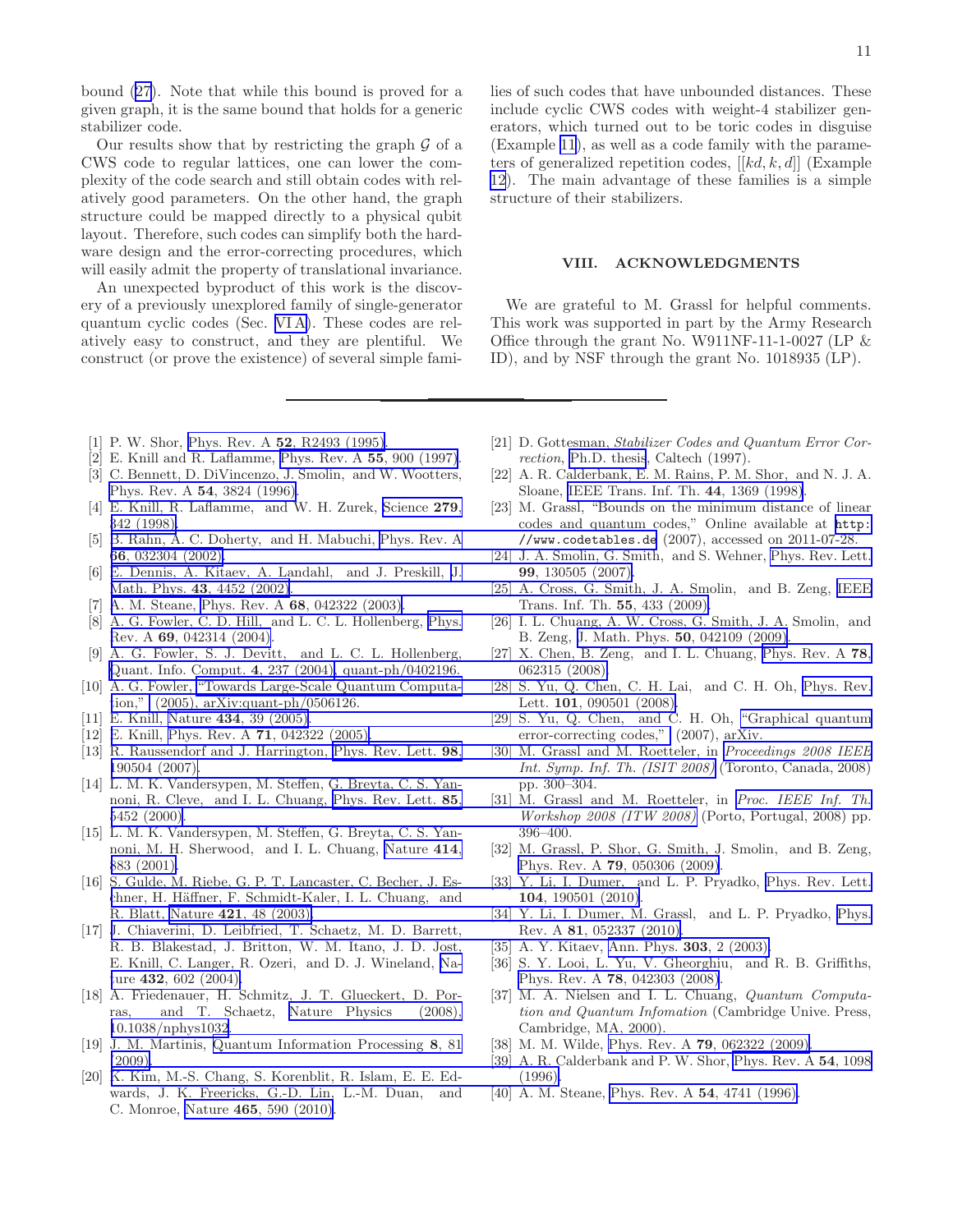<span id="page-10-0"></span>bound [\(27](#page-5-0)). Note that while this bound is proved for a given graph, it is the same bound that holds for a generic stabilizer code.

Our results show that by restricting the graph  $\mathcal G$  of a CWS code to regular lattices, one can lower the complexity of the code search and still obtain codes with relatively good parameters. On the other hand, the graph structure could be mapped directly to a physical qubit layout. Therefore, such codes can simplify both the hardware design and the error-correcting procedures, which will easily admit the property of translational invariance.

An unexpected byproduct of this work is the discovery of a previously unexplored family of single-generator quantum cyclic codes (Sec. [VI A\)](#page-7-0). These codes are relatively easy to construct, and they are plentiful. We construct (or prove the existence) of several simple fami11

lies of such codes that have unbounded distances. These include cyclic CWS codes with weight-4 stabilizer generators, which turned out to be toric codes in disguise (Example [11](#page-9-0)), as well as a code family with the parameters of generalized repetition codes,  $[[kd, k, d]]$  (Example [12](#page-9-0)). The main advantage of these families is a simple structure of their stabilizers.

# VIII. ACKNOWLEDGMENTS

We are grateful to M. Grassl for helpful comments. This work was supported in part by the Army Research Office through the grant No. W911NF-11-1-0027 (LP  $\&$ ID), and by NSF through the grant No. 1018935 (LP).

- [1] P. W. Shor, Phys. Rev. A 52[, R2493 \(1995\)](http://link.aps.org/abstract/PRA/v52/pR2493).
- [2] E. Knill and R. Laflamme, [Phys. Rev. A](http://dx.doi.org/10.1103/PhysRevA.55.900) 55, 900 (1997).
- [3] C. Bennett, D. DiVincenzo, J. Smolin, and W. Wootters, [Phys. Rev. A](http://dx.doi.org/10.1103/PhysRevA.54.3824) 54, 3824 (1996).
- [4] E. Knill, R. Laflamme, and W. H. Zurek, [Science](http://www.sciencemag.org/cgi/content/abstract/279/5349/342) 279, [342 \(1998\).](http://www.sciencemag.org/cgi/content/abstract/279/5349/342)
- [5] [B. Rahn, A. C. Doherty, and H. Mabuchi,](http://www.codetables.de) [Phys. Rev.](http://dx.doi.org/10.1103/PhysRevA.66.032304) [A](http://www.codetables.de) 66[, 032304 \(2002\).](http://dx.doi.org/10.1103/PhysRevA.66.032304)
- [6] [E. Dennis, A. Kitaev, A. Landahl, and J. Preskill, J.](http://link.aps.org/abstract/PRL/v99/e130505) Math. Phys. 43[, 4452 \(2002\)](http://dx.doi.org/10.1063/1.1499754).
- A. M. Steane, Phys. Rev. A 68[, 042322 \(2003\)](http://dx.doi.org/10.1103/PhysRevA.68.042322).
- [8] A. G. Fowler, C. D. Hill, and L. C. L. Hollenberg, [Phys.](http://link.aps.org/abstract/PRA/v69/e042314) Rev. A 69[, 042314 \(2004\)](http://link.aps.org/abstract/PRA/v69/e042314).
- [9] A. G. Fowler, S. J. Devitt, and L. C. L. Hollenberg, [Quant. Info. Comput.](http://arxiv.org/abs/quant-ph/0402196) 4[, 237 \(2004\), quant-ph/0402196.](http://link.aps.org/abstract/PRA/v78/e062315)
- [10] A. G. Fowler, ["Towards Large-Scale Quantum Computa](http://arxiv.org/abs/quant-ph/0506126)[tion,"](http://arxiv.org/abs/quant-ph/0506126) [\(2005\), arXiv:quant-ph/0506126.](http://link.aps.org/abstract/PRL/v101/e090501)
- [11] E. Knill, Nature 434[, 39 \(2005\)](http://dx.doi.org/10.1038/nature03350).
- [12] E. Knill, Phys. Rev. A **71**[, 042322 \(2005\).](http://dx.doi.org/10.1103/PhysRevA.71.042322)
- [13] R. Raussendorf and J. Harrington, [Phys. Rev. Lett.](http://link.aps.org/abstract/PRL/v98/e190504) 98, [190504 \(2007\).](http://link.aps.org/abstract/PRL/v98/e190504)
- [14] L. M. K. Vandersypen, M. Steffen, G. Breyta, C. S. Yannoni, R. Cleve, and I. L. Chuang, [Phys. Rev. Lett.](http://link.aps.org/abstract/PRL/v85/p5452) 85, [5452 \(2000\)](http://link.aps.org/abstract/PRL/v85/p5452).
- [15] L. M. K. Vandersypen, M. Steffen, G. Breyta, C. S. Yannoni, M. H. Sherwood, and I. L. Chuang, [Nature](http://dx.doi.org/10.1038/414883a) 414, [883 \(2001\).](http://dx.doi.org/10.1038/414883a)
- [16] S. Gulde, M. Riebe, G. P. T. Lancaster, C. Becher, J. Eschner, H. Häffner, F. Schmidt-Kaler, I. L. Chuang, and R. Blatt, Nature 421[, 48 \(2003\).](http://dx.doi.org/ 10.1038/nature01336)
- [17] [J. Chiaverini, D. Leibfried, T. Schaetz, M. D. Barrett,](http://dx.doi.org/ 10.1103/PhysRevA.81.052337) R. B. Blakestad, J. Britton, W. M. Itano, J. D. Jost, E. Knill, C. Langer, R. Ozeri, and D. J. Wineland, [Na](http://dx.doi.org/10.1038/nature03074)ture 432[, 602 \(2004\).](http://dx.doi.org/10.1038/nature03074)
- [18] A. Friedenauer, H. Schmitz, J. T. Glueckert, D. Porras, and T. Schaetz, [Nature Physics \(2008\),](http://dx.doi.org/10.1038/nphys1032) [10.1038/nphys1032.](http://dx.doi.org/10.1038/nphys1032)
- [19] J. M. Martinis, [Quantum Information Processing](http://dx.doi.org/10.1007/s11128-009-0105-1) 8, 81 [\(2009\).](http://dx.doi.org/10.1007/s11128-009-0105-1)
- [20] [K. Kim, M.-S. Chang, S. Korenblit, R. Islam, E. E. Ed](http://dx.doi.org/10.1103/PhysRevA.54.1098)wards, J. K. Freericks, G.-D. Lin, L.-M. Duan, and C. Monroe, Nature 465[, 590 \(2010\).](http://dx.doi.org/10.1038/nature09071)
- [21] D. Gottesman, *Stabilizer Codes and Quantum Error Correction*, [Ph.D. thesis](http://arxiv.org/abs/quant-ph/9705052), Caltech (1997).
- [22] A. R. Calderbank, E. M. Rains, P. M. Shor, and N. J. A. Sloane, [IEEE Trans. Inf. Th.](http://dx.doi.org/10.1109/18.681315) 44, 1369 (1998).
- [23] M. Grassl, "Bounds on the minimum distance of linear codes and quantum codes," Online available at [http:](http://www.codetables.de) //www.codetables.de (2007), accessed on 2011-07-28.
- [24] J. A. Smolin, G. Smith, and S. Wehner, [Phys. Rev. Lett.](http://link.aps.org/abstract/PRL/v99/e130505) 99, 130505 (2007).
- [25] A. Cross, G. Smith, J. A. Smolin, and B. Zeng, [IEEE](http://dx.doi.org/10.1109/TIT.2008.2008136) Trans. Inf. Th. 55, 433 (2009).
- [26] I. L. Chuang, A. W. Cross, G. Smith, J. A. Smolin, and B. Zeng, J. Math. Phys. 50[, 042109 \(2009\)](http://dx.doi.org/10.1063/1.3086833).
- [27] X. Chen, B. Zeng, and I. L. Chuang, [Phys. Rev. A](http://link.aps.org/abstract/PRA/v78/e062315) 78, 062315 (2008).
- [28] S. Yu, Q. Chen, C. H. Lai, and C. H. Oh, [Phys. Rev.](http://link.aps.org/abstract/PRL/v101/e090501) Lett. **101**, 090501 (2008).
- [29] S. Yu, Q. Chen, and C. H. Oh, ["Graphical quantum](http://arxiv.org/abs/0709.1780) [error-correcting codes,"](http://arxiv.org/abs/0709.1780) (2007), arXiv.
- [30] M. Grassl and M. Roetteler, in *[Proceedings 2008 IEEE](http://dx.doi.org/10.1109/ISIT.2008.4594996) [Int. Symp. Inf. Th. \(ISIT 2008\)](http://dx.doi.org/10.1109/ISIT.2008.4594996)* (Toronto, Canada, 2008) pp. 300–304.
- [31] M. Grassl and M. Roetteler, in *[Proc. IEEE Inf. Th.](http://dx.doi.org/10.1109/ITW.2008.4578694) [Workshop 2008 \(ITW 2008\)](http://dx.doi.org/10.1109/ITW.2008.4578694)* (Porto, Portugal, 2008) pp. 396–400.
- [32] M. Grassl, P. Shor, G. Smith, J. Smolin, and B. Zeng, Phys. Rev. A 79[, 050306 \(2009\)](http://link.aps.org/abstract/PRA/v79/e050306).
- [33] Y. Li, I. Dumer, and L. P. Pryadko, [Phys. Rev. Lett.](http://dx.doi.org/10.1103/PhysRevLett.104.190501) 104, 190501 (2010).
- [34] Y. Li, I. Dumer, M. Grassl, and L. P. Pryadko, [Phys.](http://dx.doi.org/ 10.1103/PhysRevA.81.052337) Rev. A 81, 052337 (2010).
- [35] A. Y. Kitaev, [Ann. Phys.](http://arxiv.org/abs/quant-ph/9707021) **303**, 2 (2003).
- [36] S. Y. Looi, L. Yu, V. Gheorghiu, and R. B. Griffiths, Phys. Rev. A 78[, 042303 \(2008\)](http://link.aps.org/abstract/PRA/v78/e042303).
- [37] M. A. Nielsen and I. L. Chuang, *Quantum Computation and Quantum Infomation* (Cambridge Unive. Press, Cambridge, MA, 2000).
- [38] M. M. Wilde, Phys. Rev. A 79[, 062322 \(2009\)](http://dx.doi.org/10.1103/PhysRevA.79.062322).
- [39] A. R. Calderbank and P. W. Shor, [Phys. Rev. A](http://dx.doi.org/10.1103/PhysRevA.54.1098) 54, 1098 (1996).
- [40] A. M. Steane, [Phys. Rev. A](http://dx.doi.org/10.1103/PhysRevA.54.4741) **54**, 4741 (1996).